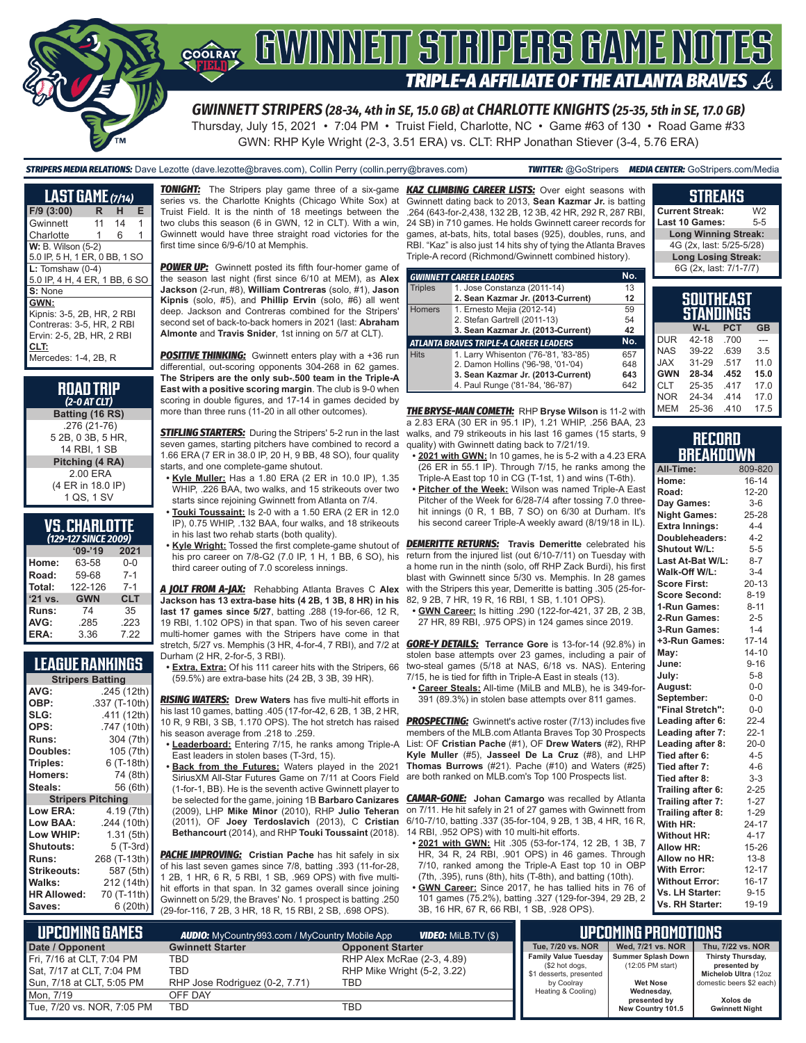

# GWINNEIT STRIPERS GAME NOTES **TRIPLE-A AFFILIATE OF THE ATLANTA BRAVES**

*GWINNETT STRIPERS (28-34, 4th in SE, 15.0 GB) at CHARLOTTE KNIGHTS (25-35, 5th in SE, 17.0 GB)* Thursday, July 15, 2021 • 7:04 PM • Truist Field, Charlotte, NC • Game #63 of 130 • Road Game #33 GWN: RHP Kyle Wright (2-3, 3.51 ERA) vs. CLT: RHP Jonathan Stiever (3-4, 5.76 ERA)

*STRIPERS MEDIA RELATIONS:* Dave Lezotte (dave.lezotte@braves.com), Collin Perry (collin.perry@braves.com) *TWITTER:* @GoStripers *MEDIA CENTER:* GoStripers.com/Media

| <b>LAST GAME (7/14)</b>                                                                                                      |    |    |   |  |
|------------------------------------------------------------------------------------------------------------------------------|----|----|---|--|
| $F/9$ (3:00)                                                                                                                 | R  | н  | Е |  |
| Gwinnett                                                                                                                     | 11 | 14 | 1 |  |
| Charlotte                                                                                                                    | 1  | 6  |   |  |
| <b>W: B. Wilson (5-2)</b>                                                                                                    |    |    |   |  |
| 5.0 IP, 5 H, 1 ER, 0 BB, 1 SO                                                                                                |    |    |   |  |
| $L:$ Tomshaw (0-4)                                                                                                           |    |    |   |  |
| 5.0 IP, 4 H, 4 ER, 1 BB, 6 SO                                                                                                |    |    |   |  |
| S: None                                                                                                                      |    |    |   |  |
| GWN:<br>Kipnis: 3-5, 2B, HR, 2 RBI<br>Contreras: 3-5, HR, 2 RBI<br>Ervin: 2-5, 2B, HR, 2 RBI<br>CLT:<br>Mercedes: 1-4, 2B, R |    |    |   |  |

| <b>ROAD TRIP</b><br>$(2-0 AT CLT)$ |
|------------------------------------|
| Batting (16 RS)                    |
| $.276(21-76)$                      |
| 5 2B, 0 3B, 5 HR,                  |
| 14 RBI. 1 SB                       |
| Pitching (4 RA)                    |
| 2.00 ERA                           |
| (4 ER in 18.0 IP)                  |
| 1 QS 1 SV                          |

#### **VS. CHARLOTTE**  *(129-127 SINCE 2009)*

| $09 - 19$  | 2021       |
|------------|------------|
| 63-58      | $0 - 0$    |
| 59-68      | $7 - 1$    |
| 122-126    | $7 - 1$    |
| <b>GWN</b> | <b>CLT</b> |
| 74         | 35         |
| .285       | .223       |
| 3.36       | 7 22       |
|            |            |

### **LEAGUE RANKINGS**

| <b>Stripers Batting</b>  |               |  |  |  |  |
|--------------------------|---------------|--|--|--|--|
| AVG:                     | .245 (12th)   |  |  |  |  |
| OBP:                     | .337 (T-10th) |  |  |  |  |
| SLG:                     | .411 (12th)   |  |  |  |  |
| OPS:                     | .747 (10th)   |  |  |  |  |
| <b>Runs:</b>             | 304 (7th)     |  |  |  |  |
| Doubles:                 | 105 (7th)     |  |  |  |  |
| Triples:                 | 6 (T-18th)    |  |  |  |  |
| <b>Homers:</b>           | 74 (8th)      |  |  |  |  |
| Steals:                  | 56 (6th)      |  |  |  |  |
| <b>Stripers Pitching</b> |               |  |  |  |  |
| <b>Low ERA:</b>          | 4.19 (7th)    |  |  |  |  |
| Low BAA:                 | .244 (10th)   |  |  |  |  |
| Low WHIP:                | 1.31 (5th)    |  |  |  |  |
| <b>Shutouts:</b>         | 5 (T-3rd)     |  |  |  |  |
| <b>Runs:</b>             | 268 (T-13th)  |  |  |  |  |
| Strikeouts:              | 587 (5th)     |  |  |  |  |
| Walks:                   | 212 (14th)    |  |  |  |  |
| <b>HR Allowed:</b>       | 70 (T-11th)   |  |  |  |  |
| Saves:                   | 6 (20th)      |  |  |  |  |

**TONIGHT:** The Stripers play game three of a six-game series vs. the Charlotte Knights (Chicago White Sox) at Truist Field. It is the ninth of 18 meetings between the two clubs this season (6 in GWN, 12 in CLT). With a win, Gwinnett would have three straight road victories for the first time since 6/9-6/10 at Memphis.

**POWER UP:** Gwinnett posted its fifth four-homer game of the season last night (first since 6/10 at MEM), as **Alex Jackson** (2-run, #8), **William Contreras** (solo, #1), **Jason Kipnis** (solo, #5), and **Phillip Ervin** (solo, #6) all went deep. Jackson and Contreras combined for the Stripers' second set of back-to-back homers in 2021 (last: **Abraham Almonte** and **Travis Snider**, 1st inning on 5/7 at CLT).

**POSITIVE THINKING:** Gwinnett enters play with a +36 run differential, out-scoring opponents 304-268 in 62 games. **The Stripers are the only sub-.500 team in the Triple-A East with a positive scoring margin**. The club is 9-0 when scoring in double figures, and 17-14 in games decided by more than three runs (11-20 in all other outcomes).

**STIFLING STARTERS:** During the Stripers' 5-2 run in the last seven games, starting pitchers have combined to record a 1.66 ERA (7 ER in 38.0 IP, 20 H, 9 BB, 48 SO), four quality starts, and one complete-game shutout.

- **• Kyle Muller:** Has a 1.80 ERA (2 ER in 10.0 IP), 1.35 WHIP, .226 BAA, two walks, and 15 strikeouts over two starts since rejoining Gwinnett from Atlanta on 7/4.
- **• Touki Toussaint:** Is 2-0 with a 1.50 ERA (2 ER in 12.0 IP), 0.75 WHIP, .132 BAA, four walks, and 18 strikeouts in his last two rehab starts (both quality).
- his pro career on 7/8-G2 (7.0 IP, 1 H, 1 BB, 6 SO), his third career outing of 7.0 scoreless innings.

*A JOLT FROM A-JAX:* Rehabbing Atlanta Braves C **Alex**  with the Stripers this year, Demeritte is batting .305 (25-for-**Jackson has 13 extra-base hits (4 2B, 1 3B, 8 HR) in his last 17 games since 5/27**, batting .288 (19-for-66, 12 R, 19 RBI, 1.102 OPS) in that span. Two of his seven career multi-homer games with the Stripers have come in that stretch, 5/27 vs. Memphis (3 HR, 4-for-4, 7 RBI), and 7/2 at Durham (2 HR, 2-for-5, 3 RBI).

**• Extra, Extra:** Of his 111 career hits with the Stripers, 66 (59.5%) are extra-base hits (24 2B, 3 3B, 39 HR).

*RISING WATERS:* **Drew Waters** has five multi-hit efforts in his last 10 games, batting .405 (17-for-42, 6 2B, 1 3B, 2 HR, 10 R, 9 RBI, 3 SB, 1.170 OPS). The hot stretch has raised his season average from .218 to .259.

- **• Leaderboard:** Entering 7/15, he ranks among Triple-A East leaders in stolen bases (T-3rd, 15).
- **• Back from the Futures:** Waters played in the 2021 SiriusXM All-Star Futures Game on 7/11 at Coors Field (1-for-1, BB). He is the seventh active Gwinnett player to be selected for the game, joining 1B **Barbaro Canizares** (2009), LHP **Mike Minor** (2010), RHP **Julio Teheran Bethancourt** (2014), and RHP **Touki Toussaint** (2018).

*PACHE IMPROVING:* **Cristian Pache** has hit safely in six of his last seven games since 7/8, batting .393 (11-for-28, 1 2B, 1 HR, 6 R, 5 RBI, 1 SB, .969 OPS) with five multihit efforts in that span. In 32 games overall since joining Gwinnett on 5/29, the Braves' No. 1 prospect is batting .250 (29-for-116, 7 2B, 3 HR, 18 R, 15 RBI, 2 SB, .698 OPS).

*KAZ CLIMBING CAREER LISTS:* Over eight seasons with Gwinnett dating back to 2013, **Sean Kazmar Jr.** is batting .264 (643-for-2,438, 132 2B, 12 3B, 42 HR, 292 R, 287 RBI, 24 SB) in 710 games. He holds Gwinnett career records for games, at-bats, hits, total bases (925), doubles, runs, and RBI. "Kaz" is also just 14 hits shy of tying the Atlanta Braves Triple-A record (Richmond/Gwinnett combined history).

|                | <b>GWINNETT CAREER LEADERS</b>                | No. |
|----------------|-----------------------------------------------|-----|
| <b>Triples</b> | 1. Jose Constanza (2011-14)                   | 13  |
|                | 2. Sean Kazmar Jr. (2013-Current)             | 12  |
| <b>Homers</b>  | 1. Ernesto Mejia (2012-14)                    | 59  |
|                | 2. Stefan Gartrell (2011-13)                  | 54  |
|                | 3. Sean Kazmar Jr. (2013-Current)             | 42  |
|                | <b>ATLANTA BRAVES TRIPLE-A CAREER LEADERS</b> | No. |
| <b>Hits</b>    | 1. Larry Whisenton ('76-'81, '83-'85)         | 657 |
|                | 2. Damon Hollins ('96-'98, '01-'04)           | 648 |
|                | 3. Sean Kazmar Jr. (2013-Current)             | 643 |
|                | 4. Paul Runge ('81-'84, '86-'87)              | 642 |

*THE BRYSE-MAN COMETH:* RHP **Bryse Wilson** is 11-2 with a 2.83 ERA (30 ER in 95.1 IP), 1.21 WHIP, .256 BAA, 23 walks, and 79 strikeouts in his last 16 games (15 starts, 9 quality) with Gwinnett dating back to 7/21/19.

- **• 2021 with GWN:** In 10 games, he is 5-2 with a 4.23 ERA (26 ER in 55.1 IP). Through 7/15, he ranks among the Triple-A East top 10 in CG (T-1st, 1) and wins (T-6th).
- **• Pitcher of the Week:** Wilson was named Triple-A East Pitcher of the Week for 6/28-7/4 after tossing 7.0 threehit innings (0 R, 1 BB, 7 SO) on 6/30 at Durham. It's his second career Triple-A weekly award (8/19/18 in IL).

**• Kyle Wright:** Tossed the first complete-game shutout of *DEMERITTE RETURNS:* **Travis Demeritte** celebrated his return from the injured list (out 6/10-7/11) on Tuesday with a home run in the ninth (solo, off RHP Zack Burdi), his first blast with Gwinnett since 5/30 vs. Memphis. In 28 games 82, 9 2B, 7 HR, 19 R, 16 RBI, 1 SB, 1.101 OPS).

**• GWN Career:** Is hitting .290 (122-for-421, 37 2B, 2 3B, 27 HR, 89 RBI, .975 OPS) in 124 games since 2019.

*GORE-Y DETAILS:* **Terrance Gore** is 13-for-14 (92.8%) in stolen base attempts over 23 games, including a pair of two-steal games (5/18 at NAS, 6/18 vs. NAS). Entering 7/15, he is tied for fifth in Triple-A East in steals (13).

**• Career Steals:** All-time (MiLB and MLB), he is 349-for-391 (89.3%) in stolen base attempts over 811 games.

**PROSPECTING:** Gwinnett's active roster (7/13) includes five members of the MLB.com Atlanta Braves Top 30 Prospects List: OF **Cristian Pache** (#1), OF **Drew Waters** (#2), RHP **Kyle Muller** (#5), **Jasseel De La Cruz** (#8), and LHP **Thomas Burrows** (#21). Pache (#10) and Waters (#25) are both ranked on MLB.com's Top 100 Prospects list.

(2011), OF **Joey Terdoslavich** (2013), C **Cristian**  6/10-7/10, batting .337 (35-for-104, 9 2B, 1 3B, 4 HR, 16 R, *CAMAR-GONE:* **Johan Camargo** was recalled by Atlanta on 7/11. He hit safely in 21 of 27 games with Gwinnett from 14 RBI, .952 OPS) with 10 multi-hit efforts.

- **• 2021 with GWN:** Hit .305 (53-for-174, 12 2B, 1 3B, 7 HR, 34 R, 24 RBI, .901 OPS) in 46 games. Through 7/10, ranked among the Triple-A East top 10 in OBP (7th, .395), runs (8th), hits (T-8th), and batting (10th).
- **• GWN Career:** Since 2017, he has tallied hits in 76 of 101 games (75.2%), batting .327 (129-for-394, 29 2B, 2 3B, 16 HR, 67 R, 66 RBI, 1 SB, .928 OPS).

### **STREAKS**

**Current Streak:** W2<br>Last 10 Games: 5-5 **Last 10 Games: Long Winning Streak:** 4G (2x, last: 5/25-5/28) **Long Losing Streak:** 6G (2x, last: 7/1-7/7)

|     | <b>SOUTHEAST</b><br><b>STANDINGS</b> |      |     |
|-----|--------------------------------------|------|-----|
|     | W-L                                  | PCT  | GB  |
| DUR | 42-18                                | .700 |     |
| NAS | 39-22                                | .639 | 3.5 |
| .   |                                      |      |     |

| אטע         | 42-10 | .7 UU |      |
|-------------|-------|-------|------|
| <b>NAS</b>  | 39-22 | .639  | 3.5  |
| <b>JAX</b>  | 31-29 | .517  | 11.0 |
| I GWN       | 28-34 | .452  | 15.0 |
| ICLT        | 25-35 | .417  | 17.0 |
| <b>NOR</b>  | 24-34 | .414  | 17.0 |
| <b>IMEM</b> | 25-36 | .410  | 17.5 |
|             |       |       |      |

#### **RECORD BREAKDOWN**

| All-Time:             | 809-820   |
|-----------------------|-----------|
| Home:                 | $16 - 14$ |
| Road:                 | 12-20     |
| Day Games:            | $3-6$     |
| <b>Night Games:</b>   | 25-28     |
| <b>Extra Innings:</b> | $4 - 4$   |
| Doubleheaders:        | $4 - 2$   |
| Shutout W/L:          | $5-5$     |
| Last At-Bat W/L:      | $8 - 7$   |
| Walk-Off W/L:         | $3 - 4$   |
| <b>Score First:</b>   | $20 - 13$ |
| <b>Score Second:</b>  | $8 - 19$  |
| 1-Run Games:          | $8 - 11$  |
| 2-Run Games:          | $2 - 5$   |
| 3-Run Games:          | $1 - 4$   |
| +3-Run Games:         | $17 - 14$ |
| May:                  | $14 - 10$ |
| June:                 | $9 - 16$  |
| July:                 | $5 - 8$   |
| August:               | $0-0$     |
| September:            | $0-0$     |
| "Final Stretch":      | $0 - 0$   |
| Leading after 6:      | $22 - 4$  |
| Leading after 7:      | $22 - 1$  |
| Leading after 8:      | $20 - 0$  |
| Tied after 6:         | $4 - 5$   |
| Tied after 7:         | $4 - 6$   |
| Tied after 8:         | $3 - 3$   |
| Trailing after 6:     | $2 - 25$  |
| Trailing after 7:     | $1 - 27$  |
| Trailing after 8:     | $1 - 29$  |
| With HR:              | $24 - 17$ |
| <b>Without HR:</b>    | $4 - 17$  |
| <b>Allow HR:</b>      | 15-26     |
| Allow no HR:          | $13 - 8$  |
| <b>With Error:</b>    | $12 - 17$ |
| <b>Without Error:</b> | $16 - 17$ |
| Vs. LH Starter:       | $9 - 15$  |
| Vs. RH Starter:       | 19-19     |

| $\blacksquare$ Upcoming Games |                                | UPCOMING PROMOTIONS <b>'</b> |                                           |                                           |                                      |
|-------------------------------|--------------------------------|------------------------------|-------------------------------------------|-------------------------------------------|--------------------------------------|
| Date / Opponent               | <b>Gwinnett Starter</b>        | <b>Opponent Starter</b>      | Tue. 7/20 vs. NOR                         | Wed. 7/21 vs. NOR                         | Thu. 7/22 vs. NOR                    |
| Fri, 7/16 at CLT, 7:04 PM     | TBD                            | RHP Alex McRae (2-3, 4.89)   |                                           | Family Value Tuesday   Summer Splash Down | Thirsty Thursday,                    |
| Sat, 7/17 at CLT, 7:04 PM     | TBD                            | RHP Mike Wright (5-2, 3.22)  | (\$2 hot dogs,<br>\$1 desserts, presented | (12:05 PM start)                          | presented by<br>Michelob Ultra (12oz |
| Sun, 7/18 at CLT, 5:05 PM     | RHP Jose Rodriguez (0-2, 7.71) | TBD                          | by Coolray                                | <b>Wet Nose</b>                           | domestic beers \$2 each)             |
| Mon. 7/19                     | OFF DAY                        |                              | Heating & Cooling)                        | Wednesday,<br>presented by                | Xolos de                             |
| Tue, 7/20 vs. NOR, 7:05 PM    | TBD                            | TBD                          |                                           | New Country 101.5                         | <b>Gwinnett Night</b>                |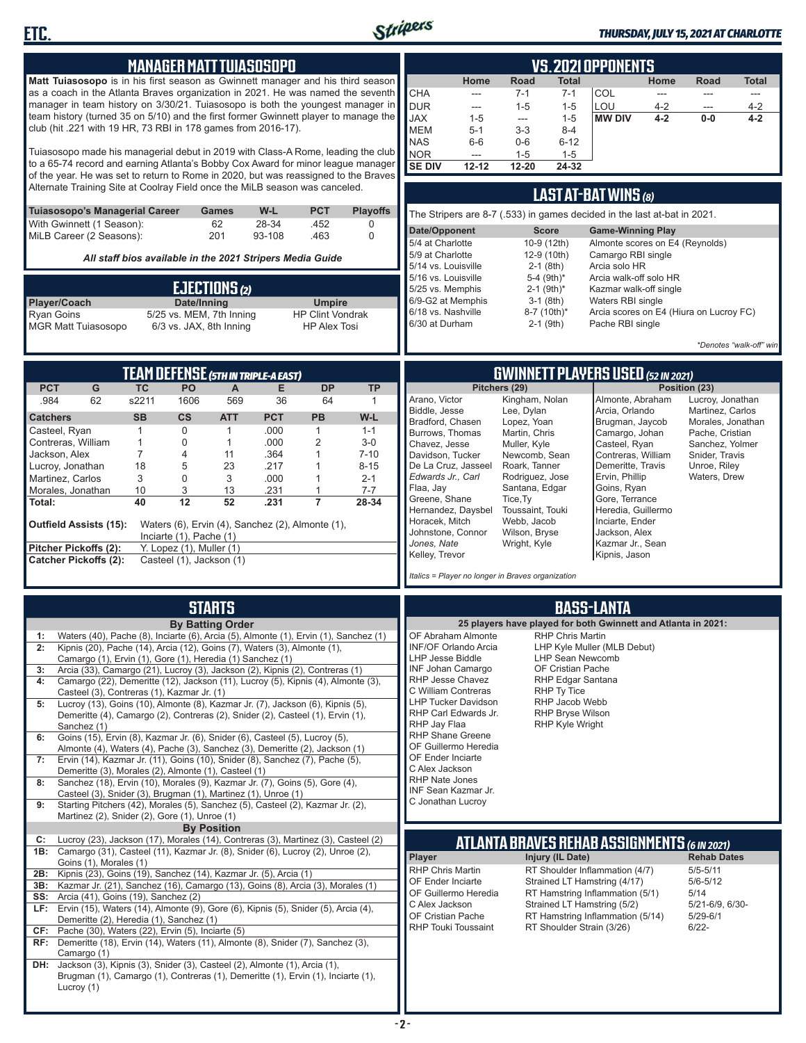

**ETC.**

Lucroy (1)

#### *THURSDAY, JULY 15, 2021 AT CHARLOTTE*

| <b>MANAGER MATTTUIASOSOPO</b>                                                                                                                                                 | <b>VS. 2021 OPPONENTS</b>                                                                                                                                                              |  |  |  |
|-------------------------------------------------------------------------------------------------------------------------------------------------------------------------------|----------------------------------------------------------------------------------------------------------------------------------------------------------------------------------------|--|--|--|
| Matt Tuiasosopo is in his first season as Gwinnett manager and his third season                                                                                               | Home<br>Road<br><b>Total</b><br>Home<br>Road<br><b>Total</b>                                                                                                                           |  |  |  |
| as a coach in the Atlanta Braves organization in 2021. He was named the seventh                                                                                               | <b>CHA</b><br>$7 - 1$<br>$7 - 1$<br>COL<br>$\overline{a}$<br>$\frac{1}{2}$<br>---<br>$\cdots$                                                                                          |  |  |  |
| manager in team history on 3/30/21. Tuiasosopo is both the youngest manager in<br>team history (turned 35 on 5/10) and the first former Gwinnett player to manage the         | <b>DUR</b><br>LOU<br>$1 - 5$<br>$1 - 5$<br>4-2<br>4-2<br>---<br>$\overline{\phantom{a}}$<br><b>JAX</b><br><b>MW DIV</b><br>$4 - 2$<br>$0-0$<br>$4 - 2$<br>$1 - 5$<br>$1 - 5$<br>$\sim$ |  |  |  |
| club (hit .221 with 19 HR, 73 RBI in 178 games from 2016-17).                                                                                                                 | <b>MEM</b><br>$3 - 3$<br>$8 - 4$<br>5-1                                                                                                                                                |  |  |  |
|                                                                                                                                                                               | <b>NAS</b><br>$0-6$<br>$6-6$<br>$6 - 12$                                                                                                                                               |  |  |  |
| Tuiasosopo made his managerial debut in 2019 with Class-A Rome, leading the club<br>to a 65-74 record and earning Atlanta's Bobby Cox Award for minor league manager          | <b>NOR</b><br>$1 - 5$<br>$1 - 5$<br>---<br><b>SE DIV</b>                                                                                                                               |  |  |  |
| of the year. He was set to return to Rome in 2020, but was reassigned to the Braves                                                                                           | 12-20<br>24-32<br>$12 - 12$                                                                                                                                                            |  |  |  |
| Alternate Training Site at Coolray Field once the MiLB season was canceled.                                                                                                   | LAST AT-BAT WINS (8)                                                                                                                                                                   |  |  |  |
| Tuiasosopo's Managerial Career<br>W-L<br><b>PCT</b><br><b>Playoffs</b><br>Games                                                                                               |                                                                                                                                                                                        |  |  |  |
| With Gwinnett (1 Season):<br>62<br>28-34<br>.452<br>0                                                                                                                         | The Stripers are 8-7 (.533) in games decided in the last at-bat in 2021.                                                                                                               |  |  |  |
| MiLB Career (2 Seasons):<br>201<br>93-108<br>.463<br>$\Omega$                                                                                                                 | Date/Opponent<br><b>Score</b><br><b>Game-Winning Play</b><br>5/4 at Charlotte<br>10-9 (12th)<br>Almonte scores on E4 (Reynolds)                                                        |  |  |  |
| All staff bios available in the 2021 Stripers Media Guide                                                                                                                     | 5/9 at Charlotte<br>Camargo RBI single<br>12-9 (10th)                                                                                                                                  |  |  |  |
|                                                                                                                                                                               | 5/14 vs. Louisville<br>$2-1$ (8th)<br>Arcia solo HR<br>5/16 vs. Louisville<br>5-4 (9th)*<br>Arcia walk-off solo HR                                                                     |  |  |  |
| EJECTIONS (2)                                                                                                                                                                 | 5/25 vs. Memphis<br>$2 - 1$ (9th) <sup>*</sup><br>Kazmar walk-off single                                                                                                               |  |  |  |
| Player/Coach<br>Date/Inning<br><b>Umpire</b>                                                                                                                                  | 6/9-G2 at Memphis<br>$3-1$ (8th)<br>Waters RBI single                                                                                                                                  |  |  |  |
| Ryan Goins<br>5/25 vs. MEM, 7th Inning<br><b>HP Clint Vondrak</b><br>6/3 vs. JAX, 8th Inning<br><b>HP Alex Tosi</b>                                                           | 6/18 vs. Nashville<br>8-7 (10th)*<br>Arcia scores on E4 (Hiura on Lucroy FC)<br>6/30 at Durham<br>$2-1$ (9th)<br>Pache RBI single                                                      |  |  |  |
| <b>MGR Matt Tuiasosopo</b>                                                                                                                                                    |                                                                                                                                                                                        |  |  |  |
|                                                                                                                                                                               | *Denotes "walk-off" win                                                                                                                                                                |  |  |  |
| <b>TEAM DEFENSE (5TH IN TRIPLE-A EAST)</b>                                                                                                                                    | <b>GWINNETT PLAYERS USED (52 IN 2021)</b>                                                                                                                                              |  |  |  |
| <b>PCT</b><br>G<br><b>TC</b><br><b>TP</b><br>PO<br><b>DP</b><br>A<br>Е                                                                                                        | Pitchers (29)<br>Position (23)                                                                                                                                                         |  |  |  |
| .984<br>62<br>s2211<br>569<br>1606<br>36<br>64<br>$\mathbf{1}$                                                                                                                | Arano, Victor<br>Kingham, Nolan<br>Almonte, Abraham<br>Lucroy, Jonathan                                                                                                                |  |  |  |
| <b>SB</b><br>$\mathsf{cs}$<br><b>PCT</b><br><b>PB</b><br>W-L<br><b>Catchers</b><br><b>ATT</b>                                                                                 | Biddle, Jesse<br>Lee, Dylan<br>Arcia, Orlando<br>Martinez, Carlos<br>Bradford, Chasen<br>Lopez, Yoan<br>Brugman, Jaycob<br>Morales, Jonathan                                           |  |  |  |
| Casteel, Ryan<br>0<br>.000<br>$\mathbf{1}$<br>$1 - 1$<br>1<br>1                                                                                                               | Burrows, Thomas<br>Martin, Chris<br>Camargo, Johan<br>Pache, Cristian                                                                                                                  |  |  |  |
| .000<br>2<br>Contreras, William<br>$\mathbf{1}$<br>1<br>$3-0$<br>0<br>$\overline{7}$<br>.364<br>$7 - 10$<br>Jackson, Alex<br>4<br>11<br>$\mathbf{1}$                          | Chavez, Jesse<br>Muller, Kyle<br>Casteel, Ryan<br>Sanchez, Yolmer<br>Davidson, Tucker<br>Newcomb, Sean<br>Contreras, William<br>Snider, Travis                                         |  |  |  |
| .217<br>$8 - 15$<br>Lucroy, Jonathan<br>18<br>23<br>$\mathbf{1}$<br>5                                                                                                         | De La Cruz, Jasseel<br>Roark, Tanner<br>Demeritte, Travis<br>Unroe, Riley                                                                                                              |  |  |  |
| 3<br>.000<br>Martinez, Carlos<br>3<br>0<br>$\mathbf{1}$<br>$2 - 1$                                                                                                            | Edwards Jr., Carl<br>Ervin, Phillip<br>Rodriguez, Jose<br>Waters, Drew                                                                                                                 |  |  |  |
| .231<br>$7 - 7$<br>Morales, Jonathan<br>10<br>3<br>13<br>1<br>$\overline{7}$<br>12<br>28-34<br>Total:<br>40<br>52<br>.231                                                     | Flaa, Jay<br>Santana, Edgar<br>Goins, Ryan<br>Greene, Shane<br>Tice, Ty<br>Gore, Terrance                                                                                              |  |  |  |
|                                                                                                                                                                               | Hernandez, Daysbel<br>Heredia, Guillermo<br>Toussaint, Touki                                                                                                                           |  |  |  |
| Waters (6), Ervin (4), Sanchez (2), Almonte (1),<br><b>Outfield Assists (15):</b>                                                                                             | Horacek, Mitch<br>Webb, Jacob<br>Inciarte, Ender<br>Johnstone, Connor<br>Wilson, Bryse<br>Jackson, Alex                                                                                |  |  |  |
| Inciarte (1), Pache (1)<br>Pitcher Pickoffs (2):<br>Y. Lopez (1), Muller (1)                                                                                                  | Jones, Nate<br>Wright, Kyle<br>Kazmar Jr., Sean                                                                                                                                        |  |  |  |
| <b>Catcher Pickoffs (2):</b><br>Casteel (1), Jackson (1)                                                                                                                      | Kelley, Trevor<br>Kipnis, Jason                                                                                                                                                        |  |  |  |
|                                                                                                                                                                               | Italics = Player no longer in Braves organization                                                                                                                                      |  |  |  |
|                                                                                                                                                                               |                                                                                                                                                                                        |  |  |  |
| <b>STARTS</b>                                                                                                                                                                 | <b>BASS-LANTA</b>                                                                                                                                                                      |  |  |  |
| <b>By Batting Order</b>                                                                                                                                                       | 25 players have played for both Gwinnett and Atlanta in 2021:<br>OF Abraham Almonte<br><b>RHP Chris Martin</b>                                                                         |  |  |  |
| Waters (40), Pache (8), Inciarte (6), Arcia (5), Almonte (1), Ervin (1), Sanchez (1)<br>1:<br>Kipnis (20), Pache (14), Arcia (12), Goins (7), Waters (3), Almonte (1),        | <b>INF/OF Orlando Arcia</b><br>LHP Kyle Muller (MLB Debut)                                                                                                                             |  |  |  |
| Camargo (1), Ervin (1), Gore (1), Heredia (1) Sanchez (1)                                                                                                                     | <b>LHP Jesse Biddle</b><br>LHP Sean Newcomb                                                                                                                                            |  |  |  |
| Arcia (33), Camargo (21), Lucroy (3), Jackson (2), Kipnis (2), Contreras (1)<br>3:<br>Camargo (22), Demeritte (12), Jackson (11), Lucroy (5), Kipnis (4), Almonte (3),<br>4:  | <b>INF Johan Camargo</b><br>OF Cristian Pache<br>RHP Jesse Chavez<br>RHP Edgar Santana                                                                                                 |  |  |  |
| Casteel (3), Contreras (1), Kazmar Jr. (1)                                                                                                                                    | C William Contreras<br>RHP Ty Tice                                                                                                                                                     |  |  |  |
| Lucroy (13), Goins (10), Almonte (8), Kazmar Jr. (7), Jackson (6), Kipnis (5),<br>5:                                                                                          | <b>LHP Tucker Davidson</b><br>RHP Jacob Webb<br>RHP Bryse Wilson<br>RHP Carl Edwards Jr.                                                                                               |  |  |  |
| Demeritte (4), Camargo (2), Contreras (2), Snider (2), Casteel (1), Ervin (1),<br>Sanchez (1)                                                                                 | RHP Jay Flaa<br>RHP Kyle Wright                                                                                                                                                        |  |  |  |
| Goins (15), Ervin (8), Kazmar Jr. (6), Snider (6), Casteel (5), Lucroy (5),<br>6:                                                                                             | <b>RHP Shane Greene</b>                                                                                                                                                                |  |  |  |
| Almonte (4), Waters (4), Pache (3), Sanchez (3), Demeritte (2), Jackson (1)<br>Ervin (14), Kazmar Jr. (11), Goins (10), Snider (8), Sanchez (7), Pache (5),<br>7:             | OF Guillermo Heredia<br>OF Ender Inciarte                                                                                                                                              |  |  |  |
| Demeritte (3), Morales (2), Almonte (1), Casteel (1)                                                                                                                          | C Alex Jackson                                                                                                                                                                         |  |  |  |
| Sanchez (18), Ervin (10), Morales (9), Kazmar Jr. (7), Goins (5), Gore (4),<br>8:                                                                                             | <b>RHP Nate Jones</b><br>INF Sean Kazmar Jr.                                                                                                                                           |  |  |  |
| Casteel (3), Snider (3), Brugman (1), Martinez (1), Unroe (1)<br>Starting Pitchers (42), Morales (5), Sanchez (5), Casteel (2), Kazmar Jr. (2),<br>9:                         | C Jonathan Lucroy                                                                                                                                                                      |  |  |  |
| Martinez (2), Snider (2), Gore (1), Unroe (1)                                                                                                                                 |                                                                                                                                                                                        |  |  |  |
| <b>By Position</b>                                                                                                                                                            |                                                                                                                                                                                        |  |  |  |
| Lucroy (23), Jackson (17), Morales (14), Contreras (3), Martinez (3), Casteel (2)<br>C:<br>1B: Camargo (31), Casteel (11), Kazmar Jr. (8), Snider (6), Lucroy (2), Unroe (2), | ATLANTA BRAVES REHAB ASSIGNMENTS (6 IN 2021)                                                                                                                                           |  |  |  |
| Goins (1), Morales (1)                                                                                                                                                        | Player<br>Injury (IL Date)<br><b>Rehab Dates</b>                                                                                                                                       |  |  |  |
| Kipnis (23), Goins (19), Sanchez (14), Kazmar Jr. (5), Arcia (1)<br>2B:                                                                                                       | RHP Chris Martin<br>RT Shoulder Inflammation (4/7)<br>$5/5 - 5/11$<br>Strained LT Hamstring (4/17)<br>$5/6 - 5/12$<br>OF Ender Inciarte                                                |  |  |  |
| Kazmar Jr. (21), Sanchez (16), Camargo (13), Goins (8), Arcia (3), Morales (1)<br>3B:<br>Arcia (41), Goins (19), Sanchez (2)<br>SS:                                           | OF Guillermo Heredia<br>RT Hamstring Inflammation (5/1)<br>5/14                                                                                                                        |  |  |  |
| LF: Ervin (15), Waters (14), Almonte (9), Gore (6), Kipnis (5), Snider (5), Arcia (4),                                                                                        | C Alex Jackson<br>Strained LT Hamstring (5/2)<br>5/21-6/9, 6/30-                                                                                                                       |  |  |  |
| Demeritte (2), Heredia (1), Sanchez (1)                                                                                                                                       | OF Cristian Pache<br>RT Hamstring Inflammation (5/14)<br>$5/29 - 6/1$<br><b>RHP Touki Toussaint</b><br>RT Shoulder Strain (3/26)<br>$6/22 -$                                           |  |  |  |
| Pache (30), Waters (22), Ervin (5), Inciarte (5)<br>CF:<br>RF: Demeritte (18), Ervin (14), Waters (11), Almonte (8), Snider (7), Sanchez (3),                                 |                                                                                                                                                                                        |  |  |  |
| Camargo (1)                                                                                                                                                                   |                                                                                                                                                                                        |  |  |  |
| DH: Jackson (3), Kipnis (3), Snider (3), Casteel (2), Almonte (1), Arcia (1),<br>Brugman (1), Camargo (1), Contreras (1), Demeritte (1), Ervin (1), Inciarte (1),             |                                                                                                                                                                                        |  |  |  |

**- 2 -**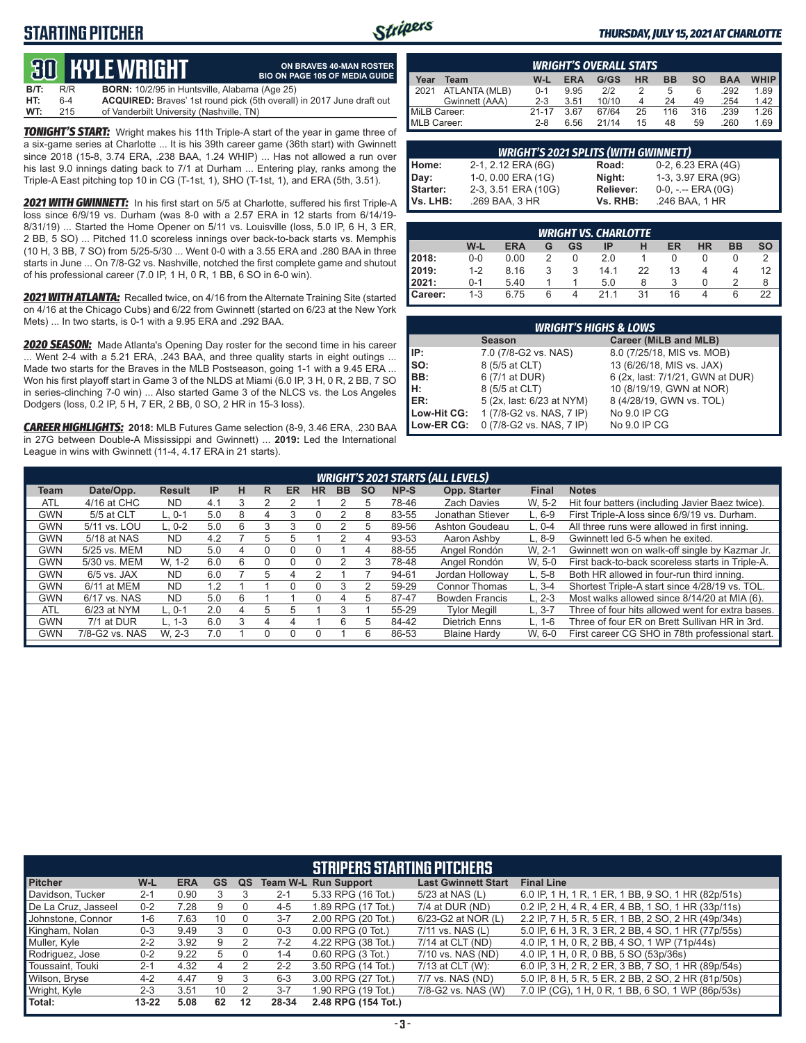## **STARTING PITCHER**



**ON BRAVES 40-MAN ROSTER**

#### *THURSDAY, JULY 15, 2021 AT CHARLOTTE*

# **30****KYLE WRIGHT**

|      |     | <u>tus bible white in</u>                            | <b>BIO ON PAGE 105 OF MEDIA GUIDE</b>                                        |
|------|-----|------------------------------------------------------|------------------------------------------------------------------------------|
| B/T: | R/R | <b>BORN:</b> 10/2/95 in Huntsville, Alabama (Age 25) |                                                                              |
| HT:  | 6-4 |                                                      | <b>ACQUIRED:</b> Braves' 1st round pick (5th overall) in 2017 June draft out |
| WT:  | 215 | of Vanderbilt University (Nashville, TN)             |                                                                              |

**TONIGHT'S START:** Wright makes his 11th Triple-A start of the year in game three of a six-game series at Charlotte ... It is his 39th career game (36th start) with Gwinnett since 2018 (15-8, 3.74 ERA, .238 BAA, 1.24 WHIP) ... Has not allowed a run over his last 9.0 innings dating back to 7/1 at Durham ... Entering play, ranks among the Triple-A East pitching top 10 in CG (T-1st, 1), SHO (T-1st, 1), and ERA (5th, 3.51).

*2021 WITH GWINNETT:* In his first start on 5/5 at Charlotte, suffered his first Triple-A loss since 6/9/19 vs. Durham (was 8-0 with a 2.57 ERA in 12 starts from 6/14/19- 8/31/19) ... Started the Home Opener on 5/11 vs. Louisville (loss, 5.0 IP, 6 H, 3 ER, 2 BB, 5 SO) ... Pitched 11.0 scoreless innings over back-to-back starts vs. Memphis (10 H, 3 BB, 7 SO) from 5/25-5/30 ... Went 0-0 with a 3.55 ERA and .280 BAA in three starts in June ... On 7/8-G2 vs. Nashville, notched the first complete game and shutout of his professional career (7.0 IP, 1 H, 0 R, 1 BB, 6 SO in 6-0 win).

*2021 WITH ATLANTA:* Recalled twice, on 4/16 from the Alternate Training Site (started on 4/16 at the Chicago Cubs) and 6/22 from Gwinnett (started on 6/23 at the New York Mets) ... In two starts, is 0-1 with a 9.95 ERA and .292 BAA.

*2020 SEASON:* Made Atlanta's Opening Day roster for the second time in his career ... Went 2-4 with a 5.21 ERA, .243 BAA, and three quality starts in eight outings ... Made two starts for the Braves in the MLB Postseason, going 1-1 with a 9.45 ERA ... Won his first playoff start in Game 3 of the NLDS at Miami (6.0 IP, 3 H, 0 R, 2 BB, 7 SO in series-clinching 7-0 win) ... Also started Game 3 of the NLCS vs. the Los Angeles Dodgers (loss, 0.2 IP, 5 H, 7 ER, 2 BB, 0 SO, 2 HR in 15-3 loss).

*CAREER HIGHLIGHTS:* **2018:** MLB Futures Game selection (8-9, 3.46 ERA, .230 BAA in 27G between Double-A Mississippi and Gwinnett) ... **2019:** Led the International League in wins with Gwinnett (11-4, 4.17 ERA in 21 starts).

| <b>WRIGHT'S OVERALL STATS</b> |                                                                                                       |           |      |       |          |     |     |      |      |  |
|-------------------------------|-------------------------------------------------------------------------------------------------------|-----------|------|-------|----------|-----|-----|------|------|--|
| Year                          | <b>WHIP</b><br>G/GS<br><b>BB</b><br><b>ERA</b><br><b>HR</b><br><b>SO</b><br>W-L<br><b>BAA</b><br>Team |           |      |       |          |     |     |      |      |  |
| 2021                          | ATLANTA (MLB)                                                                                         | $0 - 1$   | 9.95 | 212   |          | 5   | 6   | .292 | 1.89 |  |
|                               | Gwinnett (AAA)                                                                                        | $2 - 3$   | 3.51 | 10/10 | $\Delta$ | 24  | 49  | .254 | 1.42 |  |
| MiLB Career:                  |                                                                                                       | $21 - 17$ | 3.67 | 67/64 | 25       | 116 | 316 | .239 | 1.26 |  |
| MLB Career:                   |                                                                                                       | $2 - 8$   | 6.56 | 21/14 | 15       | 48  | 59  | .260 | 1.69 |  |

|          | <b>WRIGHT'S 2021 SPLITS (WITH GWINNETT)</b> |           |                       |
|----------|---------------------------------------------|-----------|-----------------------|
| Home:    | 2-1, 2.12 ERA (6G)                          | Road:     | $0-2$ , 6.23 ERA (4G) |
| Day:     | 1-0, 0.00 ERA (1G)                          | Night:    | 1-3, 3.97 ERA (9G)    |
| Starter: | 2-3, 3.51 ERA (10G)                         | Reliever: | $0-0, - -$ ERA $(0G)$ |
| Vs. LHB: | .269 BAA, 3 HR                              | Vs. RHB:  | .246 BAA, 1 HR        |

|         |         |            |   |           | <b>WRIGHT VS. CHARLOTTE</b> |    |    |           |           |           |
|---------|---------|------------|---|-----------|-----------------------------|----|----|-----------|-----------|-----------|
|         | W-L     | <b>ERA</b> | G | <b>GS</b> | IP                          | н  | ER | <b>HR</b> | <b>BB</b> | <b>SO</b> |
| 2018:   | $0 - 0$ | 0.00       |   | O         | 2.0                         |    |    |           |           |           |
| 12019:  | $1 - 2$ | 8.16       | 3 | 3         | 14.1                        | 22 | 13 |           | 4         | 12        |
| 12021:  | $0 - 1$ | 5.40       |   |           | 5.0                         | 8  |    |           |           | 8         |
| Career: | $1 - 3$ | 6.75       | 6 |           | 211                         | 31 | 16 |           | 6         | 22        |

|             | <b>WRIGHT'S HIGHS &amp; LOWS</b> |                                  |
|-------------|----------------------------------|----------------------------------|
|             | <b>Season</b>                    | Career (MiLB and MLB)            |
| IP:         | 7.0 (7/8-G2 vs. NAS)             | 8.0 (7/25/18, MIS vs. MOB)       |
| $\vert$ so: | 8 (5/5 at CLT)                   | 13 (6/26/18, MIS vs. JAX)        |
| BB:         | 6 (7/1 at DUR)                   | 6 (2x, last: 7/1/21, GWN at DUR) |
| Iн:         | 8 (5/5 at CLT)                   | 10 (8/19/19, GWN at NOR)         |
| <b>IER:</b> | 5 (2x, last: 6/23 at NYM)        | 8 (4/28/19, GWN vs. TOL)         |
| Low-Hit CG: | 1 (7/8-G2 vs. NAS, 7 IP)         | No 9.0 IP CG                     |
| Low-ER CG:  | 0 (7/8-G2 vs. NAS, 7 IP)         | No 9.0 IP CG                     |

|                                                                                                  |                                                                                  |               |           |   |    |           |           |           |                                              |       | <b>WRIGHT'S 2021 STARTS (ALL LEVELS)</b> |              |                                                  |
|--------------------------------------------------------------------------------------------------|----------------------------------------------------------------------------------|---------------|-----------|---|----|-----------|-----------|-----------|----------------------------------------------|-------|------------------------------------------|--------------|--------------------------------------------------|
| Team                                                                                             | Date/Opp.                                                                        | <b>Result</b> | <b>IP</b> | н | R  | <b>ER</b> | <b>HR</b> | <b>BB</b> | <b>SO</b>                                    | NP-S  | Opp. Starter                             | <b>Final</b> | <b>Notes</b>                                     |
| <b>ATL</b>                                                                                       | $4/16$ at CHC                                                                    | <b>ND</b>     | 4.1       |   |    |           |           |           | 5                                            | 78-46 | <b>Zach Davies</b>                       | W. 5-2       | Hit four batters (including Javier Baez twice).  |
| <b>GWN</b>                                                                                       | 5/5 at CLT                                                                       | L. 0-1        | 5.0       | 8 | 4  |           |           |           | 8                                            | 83-55 | Jonathan Stiever                         | $L.6-9$      | First Triple-A loss since 6/9/19 vs. Durham.     |
| <b>GWN</b>                                                                                       | Ashton Goudeau<br>5/11 vs. LOU<br>$L. 0-2$<br>5.0<br>6<br>89-56<br>$L. 0-4$<br>5 |               |           |   |    |           |           |           | All three runs were allowed in first inning. |       |                                          |              |                                                  |
| <b>GWN</b><br>5/18 at NAS<br><b>ND</b><br>Aaron Ashby<br>4.2<br>93-53<br>$L.8-9$<br>5<br>.h<br>4 |                                                                                  |               |           |   |    |           |           |           | Gwinnett led 6-5 when he exited.             |       |                                          |              |                                                  |
| <b>GWN</b>                                                                                       | 5/25 vs. MEM                                                                     | <b>ND</b>     | 5.0       | 4 | 0  |           |           |           | 4                                            | 88-55 | Angel Rondón                             | W. 2-1       | Gwinnett won on walk-off single by Kazmar Jr.    |
| <b>GWN</b>                                                                                       | 5/30 vs. MEM                                                                     | W. 1-2        | 6.0       | 6 | 0  | n         |           |           | 3                                            | 78-48 | Angel Rondón                             | W. 5-0       | First back-to-back scoreless starts in Triple-A. |
| <b>GWN</b>                                                                                       | $6/5$ vs. JAX                                                                    | <b>ND</b>     | 6.0       |   | :5 |           |           |           |                                              | 94-61 | Jordan Holloway                          | $L.5-8$      | Both HR allowed in four-run third inning.        |
| <b>GWN</b>                                                                                       | 6/11 at MEM                                                                      | <b>ND</b>     | 1.2       |   |    | U         |           |           |                                              | 59-29 | <b>Connor Thomas</b>                     | $L.3 - 4$    | Shortest Triple-A start since 4/28/19 vs. TOL.   |
| <b>GWN</b>                                                                                       | 6/17 vs. NAS                                                                     | <b>ND</b>     | 5.0       | 6 |    |           |           |           | b                                            | 87-47 | <b>Bowden Francis</b>                    | $L. 2-3$     | Most walks allowed since 8/14/20 at MIA (6).     |
| <b>ATL</b>                                                                                       | 6/23 at NYM                                                                      | L. 0-1        | 2.0       | 4 | 5  | 5         |           | 3         |                                              | 55-29 | <b>Tylor Meaill</b>                      | L. 3-7       | Three of four hits allowed went for extra bases. |
| <b>GWN</b>                                                                                       | 7/1 at DUR                                                                       | L. 1-3        | 6.0       | 3 | 4  |           |           | 6         | b                                            | 84-42 | <b>Dietrich Enns</b>                     | $L. 1-6$     | Three of four ER on Brett Sullivan HR in 3rd.    |
| GWN                                                                                              | 7/8-G2 vs. NAS                                                                   | W. 2-3        | 70        |   |    |           |           |           | 6                                            | 86-53 | <b>Blaine Hardy</b>                      | W. 6-0       | First career CG SHO in 78th professional start.  |

|                     |           |            |           |    |         | <b>STRIPERS STARTING PITCHERS</b> |                            |                                                    |
|---------------------|-----------|------------|-----------|----|---------|-----------------------------------|----------------------------|----------------------------------------------------|
| <b>Pitcher</b>      | W-L       | <b>ERA</b> | <b>GS</b> | QS |         | <b>Team W-L Run Support</b>       | <b>Last Gwinnett Start</b> | <b>Final Line</b>                                  |
| Davidson, Tucker    | $2 - 1$   | 0.90       |           |    | $2 - 1$ | 5.33 RPG (16 Tot.)                | 5/23 at NAS (L)            | 6.0 IP, 1 H, 1 R, 1 ER, 1 BB, 9 SO, 1 HR (82p/51s) |
| De La Cruz, Jasseel | $0 - 2$   | 7.28       | 9         |    | $4 - 5$ | 1.89 RPG (17 Tot.)                | 7/4 at DUR (ND)            | 0.2 IP, 2 H, 4 R, 4 ER, 4 BB, 1 SO, 1 HR (33p/11s) |
| Johnstone, Connor   | 1-6       | 7.63       | 10        | 0  | $3 - 7$ | 2.00 RPG (20 Tot.)                | 6/23-G2 at NOR (L)         | 2.2 IP, 7 H, 5 R, 5 ER, 1 BB, 2 SO, 2 HR (49p/34s) |
| Kingham, Nolan      | $0 - 3$   | 9.49       |           | 0  | $0 - 3$ | $0.00$ RPG $(0$ Tot.)             | 7/11 vs. NAS (L)           | 5.0 IP, 6 H, 3 R, 3 ER, 2 BB, 4 SO, 1 HR (77p/55s) |
| Muller, Kyle        | $2 - 2$   | 3.92       | 9         |    | $7-2$   | 4.22 RPG (38 Tot.)                | 7/14 at CLT (ND)           | 4.0 IP, 1 H, 0 R, 2 BB, 4 SO, 1 WP (71p/44s)       |
| Rodriguez, Jose     | $0 - 2$   | 9.22       | 5         |    | $1 - 4$ | $0.60$ RPG $(3$ Tot.)             | 7/10 vs. NAS (ND)          | 4.0 IP, 1 H, 0 R, 0 BB, 5 SO (53p/36s)             |
| Toussaint. Touki    | $2 - 1$   | 4.32       | 4         |    | $2 - 2$ | 3.50 RPG (14 Tot.)                | 7/13 at CLT (W):           | 6.0 IP, 3 H, 2 R, 2 ER, 3 BB, 7 SO, 1 HR (89p/54s) |
| Wilson, Bryse       | $4 - 2$   | 4.47       | 9         | 3  | $6 - 3$ | 3.00 RPG (27 Tot.)                | 7/7 vs. NAS (ND)           | 5.0 IP, 8 H, 5 R, 5 ER, 2 BB, 2 SO, 2 HR (81p/50s) |
| Wright, Kyle        | $2 - 3$   | 3.51       | 10        |    | $3 - 7$ | 1.90 RPG (19 Tot.)                | 7/8-G2 vs. NAS (W)         | 7.0 IP (CG), 1 H, 0 R, 1 BB, 6 SO, 1 WP (86p/53s)  |
| Total:              | $13 - 22$ | 5.08       | 62        | 12 | 28-34   | 2.48 RPG (154 Tot.)               |                            |                                                    |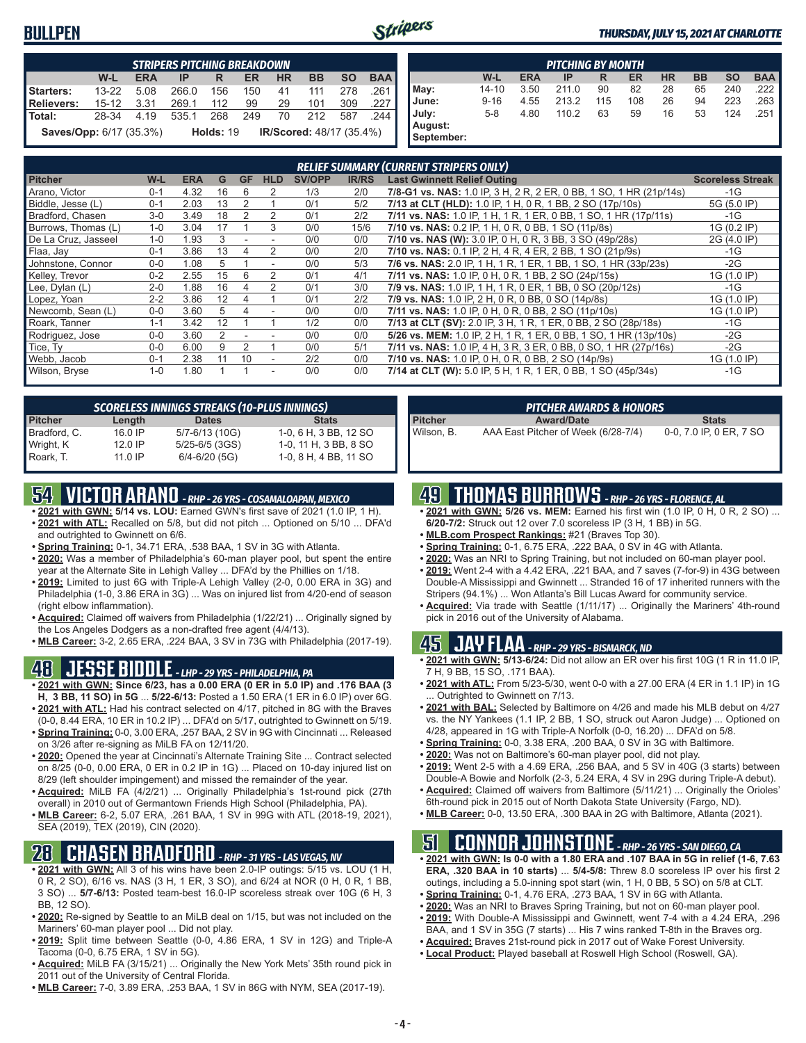#### **BULLPEN**



#### *THURSDAY, JULY 15, 2021 AT CHARLOTTE*

|                                |           |            | <b>STRIPERS PITCHING BREAKDOWN</b> |                  |     |    |                          |           |            |
|--------------------------------|-----------|------------|------------------------------------|------------------|-----|----|--------------------------|-----------|------------|
|                                | W-L       | <b>ERA</b> | ΙP                                 | R                | ER  | ΗR | <b>BB</b>                | <b>SO</b> | <b>BAA</b> |
| Starters:                      | $13 - 22$ | 5.08       | 266.0                              | 156              | 150 | 41 | 111                      | 278       | .261 I     |
| <b>Relievers:</b>              | $15-12$   | 3.31       | 269.1                              | 112              | 99  | 29 | 101                      | 309       | .227 I     |
| Total:                         | 28-34     | 4.19       | 535.1                              | 268              | 249 | 70 | 212                      | 587       | 244 I      |
| <b>Saves/Opp:</b> 6/17 (35.3%) |           |            |                                    | <b>Holds: 19</b> |     |    | IR/Scored: 48/17 (35.4%) |           |            |

|            | <b>PITCHING BY MONTH</b> |            |       |     |     |           |           |           |            |  |  |  |  |  |  |
|------------|--------------------------|------------|-------|-----|-----|-----------|-----------|-----------|------------|--|--|--|--|--|--|
|            | W-L                      | <b>ERA</b> | IP    | R   | ER  | <b>HR</b> | <b>BB</b> | <b>SO</b> | <b>BAA</b> |  |  |  |  |  |  |
| May:       | $14 - 10$                | 3.50       | 211.0 | 90  | 82  | 28        | 65        | 240       | 222        |  |  |  |  |  |  |
| June:      | $9 - 16$                 | 4.55       | 213.2 | 115 | 108 | 26        | 94        | 223       | 263        |  |  |  |  |  |  |
| July:      | $5 - 8$                  | 4.80       | 110.2 | 63  | 59  | 16        | 53        | 124       | .251       |  |  |  |  |  |  |
| August:    |                          |            |       |     |     |           |           |           |            |  |  |  |  |  |  |
| September: |                          |            |       |     |     |           |           |           |            |  |  |  |  |  |  |

|                     |         |            |    |           |            |               |              | <b>RELIEF SUMMARY (CURRENT STRIPERS ONLY)</b>                      |                         |
|---------------------|---------|------------|----|-----------|------------|---------------|--------------|--------------------------------------------------------------------|-------------------------|
| <b>Pitcher</b>      | W-L     | <b>ERA</b> | G  | <b>GF</b> | <b>HLD</b> | <b>SV/OPP</b> | <b>IR/RS</b> | <b>Last Gwinnett Relief Outing</b>                                 | <b>Scoreless Streak</b> |
| Arano, Victor       | $0 - 1$ | 4.32       | 16 | 6         | 2          | 1/3           | 2/0          | 7/8-G1 vs. NAS: 1.0 IP, 3 H, 2 R, 2 ER, 0 BB, 1 SO, 1 HR (21p/14s) | $-1G$                   |
| Biddle, Jesse (L)   | $0 - 1$ | 2.03       | 13 | 2         |            | 0/1           | 5/2          | 7/13 at CLT (HLD): 1.0 IP, 1 H, 0 R, 1 BB, 2 SO (17p/10s)          | 5G (5.0 IP)             |
| Bradford, Chasen    | $3-0$   | 3.49       | 18 | 2         |            | 0/1           | 2/2          | 7/11 vs. NAS: 1.0 IP, 1 H, 1 R, 1 ER, 0 BB, 1 SO, 1 HR (17p/11s)   | $-1G$                   |
| Burrows, Thomas (L) | $1 - 0$ | 3.04       | 17 |           | 3          | 0/0           | 15/6         | 7/10 vs. NAS: 0.2 IP, 1 H, 0 R, 0 BB, 1 SO (11p/8s)                | 1G (0.2 IP)             |
| De La Cruz, Jasseel | $1 - 0$ | 1.93       | 3  |           |            | 0/0           | 0/0          | 7/10 vs. NAS (W): 3.0 IP, 0 H, 0 R, 3 BB, 3 SO (49p/28s)           | 2G (4.0 IP)             |
| Flaa, Jay           | $0 - 1$ | 3.86       | 13 | 4         |            | 0/0           | 2/0          | 7/10 vs. NAS: 0.1 IP, 2 H, 4 R, 4 ER, 2 BB, 1 SO (21p/9s)          | $-1G$                   |
| Johnstone, Connor   | $0 - 0$ | 1.08       | 5  |           | ٠          | 0/0           | 5/3          | 7/6 vs. NAS: 2.0 IP, 1 H, 1 R, 1 ER, 1 BB, 1 SO, 1 HR (33p/23s)    | $-2G$                   |
| Kelley, Trevor      | $0 - 2$ | 2.55       | 15 | 6         |            | 0/1           | 4/1          | 7/11 vs. NAS: 1.0 IP, 0 H, 0 R, 1 BB, 2 SO (24p/15s)               | 1G (1.0 IP)             |
| Lee, Dylan (L)      | $2 - 0$ | 1.88       | 16 |           |            | 0/1           | 3/0          | 7/9 vs. NAS: 1.0 IP, 1 H, 1 R, 0 ER, 1 BB, 0 SO (20p/12s)          | $-1G$                   |
| Lopez, Yoan         | $2 - 2$ | 3.86       | 12 |           |            | 0/1           | 2/2          | 7/9 vs. NAS: 1.0 IP, 2 H, 0 R, 0 BB, 0 SO (14p/8s)                 | 1G (1.0 IP)             |
| Newcomb, Sean (L)   | $0 - 0$ | 3.60       | 5. |           |            | 0/0           | 0/0          | 7/11 vs. NAS: 1.0 IP, 0 H, 0 R, 0 BB, 2 SO (11p/10s)               | 1G (1.0 IP)             |
| Roark, Tanner       | $1 - 1$ | 3.42       | 12 |           |            | 1/2           | 0/0          | 7/13 at CLT (SV): 2.0 IP, 3 H, 1 R, 1 ER, 0 BB, 2 SO (28p/18s)     | -1G                     |
| Rodriguez, Jose     | $0 - 0$ | 3.60       |    |           |            | 0/0           | 0/0          | 5/26 vs. MEM: 1.0 IP, 2 H, 1 R, 1 ER, 0 BB, 1 SO, 1 HR (13p/10s)   | $-2G$                   |
| Tice, Ty            | $0 - 0$ | 6.00       | 9  |           |            | 0/0           | 5/1          | 7/11 vs. NAS: 1.0 IP, 4 H, 3 R, 3 ER, 0 BB, 0 SO, 1 HR (27p/16s)   | $-2G$                   |
| Webb, Jacob         | $0 - 1$ | 2.38       | 11 | 10        |            | 2/2           | 0/0          | 7/10 vs. NAS: 1.0 IP, 0 H, 0 R, 0 BB, 2 SO (14p/9s)                | 1G (1.0 IP)             |
| Wilson, Bryse       | $1 - 0$ | 1.80       |    |           | ٠          | 0/0           | 0/0          | 7/14 at CLT (W): 5.0 IP, 5 H, 1 R, 1 ER, 0 BB, 1 SO (45p/34s)      | $-1G$                   |

|                |           | <b>SCORELESS INNINGS STREAKS (10-PLUS INNINGS)</b> |                       |
|----------------|-----------|----------------------------------------------------|-----------------------|
| <b>Pitcher</b> | Length    | <b>Dates</b>                                       | <b>Stats</b>          |
| Bradford, C.   | $16.0$ IP | 5/7-6/13 (10G)                                     | 1-0, 6 H, 3 BB, 12 SO |
| Wright, K      | $12.0$ IP | $5/25 - 6/5$ (3GS)                                 | 1-0, 11 H, 3 BB, 8 SO |
| Roark, T.      | $11.0$ IP | $6/4 - 6/20$ (5G)                                  | 1-0, 8 H, 4 BB, 11 SO |

## **54 VICTOR ARANO** *- RHP - 26 YRS - COSAMALOAPAN, MEXICO*

- **• 2021 with GWN: 5/14 vs. LOU:** Earned GWN's first save of 2021 (1.0 IP, 1 H). **• 2021 with ATL:** Recalled on 5/8, but did not pitch ... Optioned on 5/10 ... DFA'd
- and outrighted to Gwinnett on 6/6. **• Spring Training:** 0-1, 34.71 ERA, .538 BAA, 1 SV in 3G with Atlanta.
- **• 2020:** Was a member of Philadelphia's 60-man player pool, but spent the entire year at the Alternate Site in Lehigh Valley ... DFA'd by the Phillies on 1/18.
- **• 2019:** Limited to just 6G with Triple-A Lehigh Valley (2-0, 0.00 ERA in 3G) and Philadelphia (1-0, 3.86 ERA in 3G) ... Was on injured list from 4/20-end of season (right elbow inflammation).
- **• Acquired:** Claimed off waivers from Philadelphia (1/22/21) ... Originally signed by the Los Angeles Dodgers as a non-drafted free agent (4/4/13).
- **• MLB Career:** 3-2, 2.65 ERA, .224 BAA, 3 SV in 73G with Philadelphia (2017-19).

## **48 JESSE BIDDLE** *- LHP - 29 YRS - PHILADELPHIA, PA*

- **• 2021 with GWN: Since 6/23, has a 0.00 ERA (0 ER in 5.0 IP) and .176 BAA (3 H, 3 BB, 11 SO) in 5G** ... **5/22-6/13:** Posted a 1.50 ERA (1 ER in 6.0 IP) over 6G.
- **• 2021 with ATL:** Had his contract selected on 4/17, pitched in 8G with the Braves (0-0, 8.44 ERA, 10 ER in 10.2 IP) ... DFA'd on 5/17, outrighted to Gwinnett on 5/19.
- **• Spring Training:** 0-0, 3.00 ERA, .257 BAA, 2 SV in 9G with Cincinnati ... Released on 3/26 after re-signing as MiLB FA on 12/11/20.
- **• 2020:** Opened the year at Cincinnati's Alternate Training Site ... Contract selected on 8/25 (0-0, 0.00 ERA, 0 ER in 0.2 IP in 1G) ... Placed on 10-day injured list on 8/29 (left shoulder impingement) and missed the remainder of the year.
- **• Acquired:** MiLB FA (4/2/21) ... Originally Philadelphia's 1st-round pick (27th overall) in 2010 out of Germantown Friends High School (Philadelphia, PA).
- **• MLB Career:** 6-2, 5.07 ERA, .261 BAA, 1 SV in 99G with ATL (2018-19, 2021), SEA (2019), TEX (2019), CIN (2020).

### **28 CHASEN BRADFORD** *- RHP - 31 YRS - LAS VEGAS, NV*

- **• 2021 with GWN:** All 3 of his wins have been 2.0-IP outings: 5/15 vs. LOU (1 H, 0 R, 2 SO), 6/16 vs. NAS (3 H, 1 ER, 3 SO), and 6/24 at NOR (0 H, 0 R, 1 BB, 3 SO) ... **5/7-6/13:** Posted team-best 16.0-IP scoreless streak over 10G (6 H, 3 BB, 12 SO).
- **• 2020:** Re-signed by Seattle to an MiLB deal on 1/15, but was not included on the Mariners' 60-man player pool ... Did not play.
- **• 2019:** Split time between Seattle (0-0, 4.86 ERA, 1 SV in 12G) and Triple-A Tacoma (0-0, 6.75 ERA, 1 SV in 5G).
- **• Acquired:** MiLB FA (3/15/21) ... Originally the New York Mets' 35th round pick in 2011 out of the University of Central Florida.
- **• MLB Career:** 7-0, 3.89 ERA, .253 BAA, 1 SV in 86G with NYM, SEA (2017-19).

|                | <b>PITCHER AWARDS &amp; HONORS</b>  |                         |
|----------------|-------------------------------------|-------------------------|
| <b>Pitcher</b> | <b>Award/Date</b>                   | <b>Stats</b>            |
| Wilson. B.     | AAA East Pitcher of Week (6/28-7/4) | 0-0, 7.0 IP, 0 ER, 7 SO |

## **49 THOMAS BURROWS** *- RHP - 26 YRS - FLORENCE, AL*

- **• 2021 with GWN: 5/26 vs. MEM:** Earned his first win (1.0 IP, 0 H, 0 R, 2 SO) ... **6/20-7/2:** Struck out 12 over 7.0 scoreless IP (3 H, 1 BB) in 5G.
- **• MLB.com Prospect Rankings:** #21 (Braves Top 30).
- **• Spring Training:** 0-1, 6.75 ERA, .222 BAA, 0 SV in 4G with Atlanta.
- **• 2020:** Was an NRI to Spring Training, but not included on 60-man player pool.
- **• 2019:** Went 2-4 with a 4.42 ERA, .221 BAA, and 7 saves (7-for-9) in 43G between Double-A Mississippi and Gwinnett ... Stranded 16 of 17 inherited runners with the Stripers (94.1%) ... Won Atlanta's Bill Lucas Award for community service.
- **• Acquired:** Via trade with Seattle (1/11/17) ... Originally the Mariners' 4th-round pick in 2016 out of the University of Alabama.

#### **45 JAY FLAA** *- RHP - 29 YRS - BISMARCK, ND*

- **• 2021 with GWN: 5/13-6/24:** Did not allow an ER over his first 10G (1 R in 11.0 IP, 7 H, 9 BB, 15 SO, .171 BAA).
- **• 2021 with ATL:** From 5/23-5/30, went 0-0 with a 27.00 ERA (4 ER in 1.1 IP) in 1G . Outrighted to Gwinnett on 7/13.
- **• 2021 with BAL:** Selected by Baltimore on 4/26 and made his MLB debut on 4/27 vs. the NY Yankees (1.1 IP, 2 BB, 1 SO, struck out Aaron Judge) ... Optioned on 4/28, appeared in 1G with Triple-A Norfolk (0-0, 16.20) ... DFA'd on 5/8.
- **• Spring Training:** 0-0, 3.38 ERA, .200 BAA, 0 SV in 3G with Baltimore.
- **• 2020:** Was not on Baltimore's 60-man player pool, did not play.
- **• 2019:** Went 2-5 with a 4.69 ERA, .256 BAA, and 5 SV in 40G (3 starts) between Double-A Bowie and Norfolk (2-3, 5.24 ERA, 4 SV in 29G during Triple-A debut).
- **• Acquired:** Claimed off waivers from Baltimore (5/11/21) ... Originally the Orioles' 6th-round pick in 2015 out of North Dakota State University (Fargo, ND).
- **• MLB Career:** 0-0, 13.50 ERA, .300 BAA in 2G with Baltimore, Atlanta (2021).

### **51 CONNOR JOHNSTONE** *- RHP - 26 YRS - SAN DIEGO, CA*

- **• 2021 with GWN: Is 0-0 with a 1.80 ERA and .107 BAA in 5G in relief (1-6, 7.63 ERA, .320 BAA in 10 starts)** ... **5/4-5/8:** Threw 8.0 scoreless IP over his first 2 outings, including a 5.0-inning spot start (win, 1 H, 0 BB, 5 SO) on 5/8 at CLT.
- **• Spring Training:** 0-1, 4.76 ERA, .273 BAA, 1 SV in 6G with Atlanta.
- **• 2020:** Was an NRI to Braves Spring Training, but not on 60-man player pool. **• 2019:** With Double-A Mississippi and Gwinnett, went 7-4 with a 4.24 ERA, .296
- BAA, and 1 SV in 35G (7 starts) ... His 7 wins ranked T-8th in the Braves org. **• Acquired:** Braves 21st-round pick in 2017 out of Wake Forest University.
- **• Local Product:** Played baseball at Roswell High School (Roswell, GA).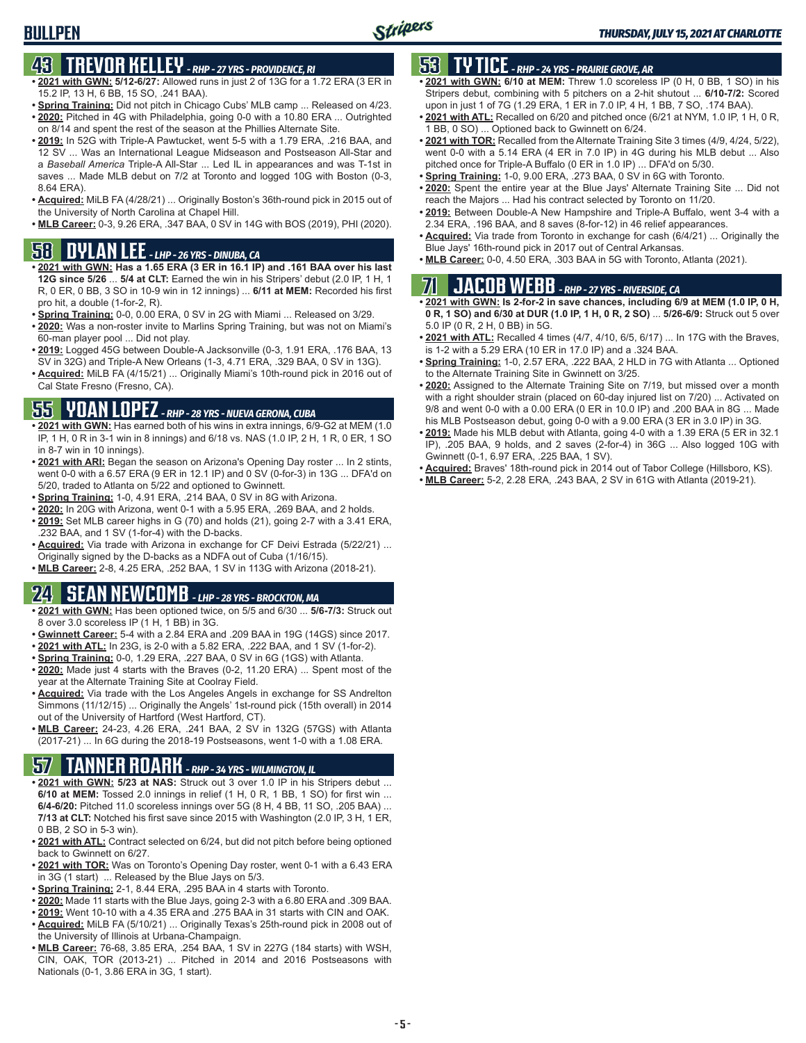## **43 TREVOR KELLEY** *- RHP - 27 YRS - PROVIDENCE, RI*

- **• 2021 with GWN: 5/12-6/27:** Allowed runs in just 2 of 13G for a 1.72 ERA (3 ER in 15.2 IP, 13 H, 6 BB, 15 SO, .241 BAA).
- **• Spring Training:** Did not pitch in Chicago Cubs' MLB camp ... Released on 4/23. **• 2020:** Pitched in 4G with Philadelphia, going 0-0 with a 10.80 ERA ... Outrighted
- on 8/14 and spent the rest of the season at the Phillies Alternate Site. **• 2019:** In 52G with Triple-A Pawtucket, went 5-5 with a 1.79 ERA, .216 BAA, and
- 12 SV ... Was an International League Midseason and Postseason All-Star and a *Baseball America* Triple-A All-Star ... Led IL in appearances and was T-1st in saves ... Made MLB debut on 7/2 at Toronto and logged 10G with Boston (0-3, 8.64 ERA).
- **• Acquired:** MiLB FA (4/28/21) ... Originally Boston's 36th-round pick in 2015 out of the University of North Carolina at Chapel Hill.
- **• MLB Career:** 0-3, 9.26 ERA, .347 BAA, 0 SV in 14G with BOS (2019), PHI (2020).

### **58 DYLAN LEE** *- LHP - 26 YRS - DINUBA, CA*

- **• 2021 with GWN: Has a 1.65 ERA (3 ER in 16.1 IP) and .161 BAA over his last 12G since 5/26** ... **5/4 at CLT:** Earned the win in his Stripers' debut (2.0 IP, 1 H, 1 R, 0 ER, 0 BB, 3 SO in 10-9 win in 12 innings) ... **6/11 at MEM:** Recorded his first pro hit, a double (1-for-2, R).
- **• Spring Training:** 0-0, 0.00 ERA, 0 SV in 2G with Miami ... Released on 3/29.
- **• 2020:** Was a non-roster invite to Marlins Spring Training, but was not on Miami's 60-man player pool ... Did not play.
- **• 2019:** Logged 45G between Double-A Jacksonville (0-3, 1.91 ERA, .176 BAA, 13 SV in 32G) and Triple-A New Orleans (1-3, 4.71 ERA, .329 BAA, 0 SV in 13G).
- **• Acquired:** MiLB FA (4/15/21) ... Originally Miami's 10th-round pick in 2016 out of Cal State Fresno (Fresno, CA).

### **55 YOAN LOPEZ** *- RHP - 28 YRS - NUEVA GERONA, CUBA*

- **• 2021 with GWN:** Has earned both of his wins in extra innings, 6/9-G2 at MEM (1.0 IP, 1 H, 0 R in 3-1 win in 8 innings) and 6/18 vs. NAS (1.0 IP, 2 H, 1 R, 0 ER, 1 SO in 8-7 win in 10 innings).
- **• 2021 with ARI:** Began the season on Arizona's Opening Day roster ... In 2 stints, went 0-0 with a 6.57 ERA (9 ER in 12.1 IP) and 0 SV (0-for-3) in 13G ... DFA'd on 5/20, traded to Atlanta on 5/22 and optioned to Gwinnett.
- **• Spring Training:** 1-0, 4.91 ERA, .214 BAA, 0 SV in 8G with Arizona.
- **• 2020:** In 20G with Arizona, went 0-1 with a 5.95 ERA, .269 BAA, and 2 holds. **• 2019:** Set MLB career highs in G (70) and holds (21), going 2-7 with a 3.41 ERA,
- .232 BAA, and 1 SV (1-for-4) with the D-backs. **• Acquired:** Via trade with Arizona in exchange for CF Deivi Estrada (5/22/21) ... Originally signed by the D-backs as a NDFA out of Cuba (1/16/15).
- **• MLB Career:** 2-8, 4.25 ERA, .252 BAA, 1 SV in 113G with Arizona (2018-21).

## **24 SEAN NEWCOMB** *- LHP - 28 YRS - BROCKTON, MA*

- **• 2021 with GWN:** Has been optioned twice, on 5/5 and 6/30 ... **5/6-7/3:** Struck out 8 over 3.0 scoreless IP (1 H, 1 BB) in 3G.
- **• Gwinnett Career:** 5-4 with a 2.84 ERA and .209 BAA in 19G (14GS) since 2017.
- **• 2021 with ATL:** In 23G, is 2-0 with a 5.82 ERA, .222 BAA, and 1 SV (1-for-2).
- **• Spring Training:** 0-0, 1.29 ERA, .227 BAA, 0 SV in 6G (1GS) with Atlanta.
- **• 2020:** Made just 4 starts with the Braves (0-2, 11.20 ERA) ... Spent most of the year at the Alternate Training Site at Coolray Field.
- **• Acquired:** Via trade with the Los Angeles Angels in exchange for SS Andrelton Simmons (11/12/15) ... Originally the Angels' 1st-round pick (15th overall) in 2014 out of the University of Hartford (West Hartford, CT).
- **• MLB Career:** 24-23, 4.26 ERA, .241 BAA, 2 SV in 132G (57GS) with Atlanta (2017-21) ... In 6G during the 2018-19 Postseasons, went 1-0 with a 1.08 ERA.

## **57 TANNER ROARK** *- RHP - 34 YRS - WILMINGTON, IL*

- **• 2021 with GWN: 5/23 at NAS:** Struck out 3 over 1.0 IP in his Stripers debut ... **6/10 at MEM:** Tossed 2.0 innings in relief (1 H, 0 R, 1 BB, 1 SO) for first win ... **6/4-6/20:** Pitched 11.0 scoreless innings over 5G (8 H, 4 BB, 11 SO, .205 BAA) ... **7/13 at CLT:** Notched his first save since 2015 with Washington (2.0 IP, 3 H, 1 ER, 0 BB, 2 SO in 5-3 win).
- **• 2021 with ATL:** Contract selected on 6/24, but did not pitch before being optioned back to Gwinnett on 6/27.
- **• 2021 with TOR:** Was on Toronto's Opening Day roster, went 0-1 with a 6.43 ERA in 3G (1 start) ... Released by the Blue Jays on 5/3.
- **• Spring Training:** 2-1, 8.44 ERA, .295 BAA in 4 starts with Toronto.
- **• 2020:** Made 11 starts with the Blue Jays, going 2-3 with a 6.80 ERA and .309 BAA.
- **• 2019:** Went 10-10 with a 4.35 ERA and .275 BAA in 31 starts with CIN and OAK.
- **• Acquired:** MiLB FA (5/10/21) ... Originally Texas's 25th-round pick in 2008 out of the University of Illinois at Urbana-Champaign.
- **• MLB Career:** 76-68, 3.85 ERA, .254 BAA, 1 SV in 227G (184 starts) with WSH, CIN, OAK, TOR (2013-21) ... Pitched in 2014 and 2016 Postseasons with Nationals (0-1, 3.86 ERA in 3G, 1 start).

### **53 TY TICE** *- RHP - 24 YRS - PRAIRIE GROVE, AR*

- **• 2021 with GWN: 6/10 at MEM:** Threw 1.0 scoreless IP (0 H, 0 BB, 1 SO) in his Stripers debut, combining with 5 pitchers on a 2-hit shutout ... **6/10-7/2:** Scored upon in just 1 of 7G (1.29 ERA, 1 ER in 7.0 IP, 4 H, 1 BB, 7 SO, .174 BAA).
- **• 2021 with ATL:** Recalled on 6/20 and pitched once (6/21 at NYM, 1.0 IP, 1 H, 0 R, 1 BB, 0 SO) ... Optioned back to Gwinnett on 6/24.
- **• 2021 with TOR:** Recalled from the Alternate Training Site 3 times (4/9, 4/24, 5/22), went 0-0 with a 5.14 ERA (4 ER in 7.0 IP) in 4G during his MLB debut ... Also pitched once for Triple-A Buffalo (0 ER in 1.0 IP) ... DFA'd on 5/30.
- **• Spring Training:** 1-0, 9.00 ERA, .273 BAA, 0 SV in 6G with Toronto.
- **• 2020:** Spent the entire year at the Blue Jays' Alternate Training Site ... Did not reach the Majors ... Had his contract selected by Toronto on 11/20.
- **• 2019:** Between Double-A New Hampshire and Triple-A Buffalo, went 3-4 with a 2.34 ERA, .196 BAA, and 8 saves (8-for-12) in 46 relief appearances.
- **• Acquired:** Via trade from Toronto in exchange for cash (6/4/21) ... Originally the Blue Jays' 16th-round pick in 2017 out of Central Arkansas.
- **• MLB Career:** 0-0, 4.50 ERA, .303 BAA in 5G with Toronto, Atlanta (2021).

## **71 JACOB WEBB** *- RHP - 27 YRS - RIVERSIDE, CA*

**• 2021 with GWN: Is 2-for-2 in save chances, including 6/9 at MEM (1.0 IP, 0 H, 0 R, 1 SO) and 6/30 at DUR (1.0 IP, 1 H, 0 R, 2 SO)** ... **5/26-6/9:** Struck out 5 over 5.0 IP (0 R, 2 H, 0 BB) in 5G.

- **• 2021 with ATL:** Recalled 4 times (4/7, 4/10, 6/5, 6/17) ... In 17G with the Braves, is 1-2 with a 5.29 ERA (10 ER in 17.0 IP) and a .324 BAA.
- **• Spring Training:** 1-0, 2.57 ERA, .222 BAA, 2 HLD in 7G with Atlanta ... Optioned to the Alternate Training Site in Gwinnett on 3/25.
- **• 2020:** Assigned to the Alternate Training Site on 7/19, but missed over a month with a right shoulder strain (placed on 60-day injured list on 7/20) ... Activated on 9/8 and went 0-0 with a 0.00 ERA (0 ER in 10.0 IP) and .200 BAA in 8G ... Made his MLB Postseason debut, going 0-0 with a 9.00 ERA (3 ER in 3.0 IP) in 3G.
- **• 2019:** Made his MLB debut with Atlanta, going 4-0 with a 1.39 ERA (5 ER in 32.1 IP), .205 BAA, 9 holds, and 2 saves (2-for-4) in 36G ... Also logged 10G with Gwinnett (0-1, 6.97 ERA, .225 BAA, 1 SV).
- **• Acquired:** Braves' 18th-round pick in 2014 out of Tabor College (Hillsboro, KS).
- **• MLB Career:** 5-2, 2.28 ERA, .243 BAA, 2 SV in 61G with Atlanta (2019-21).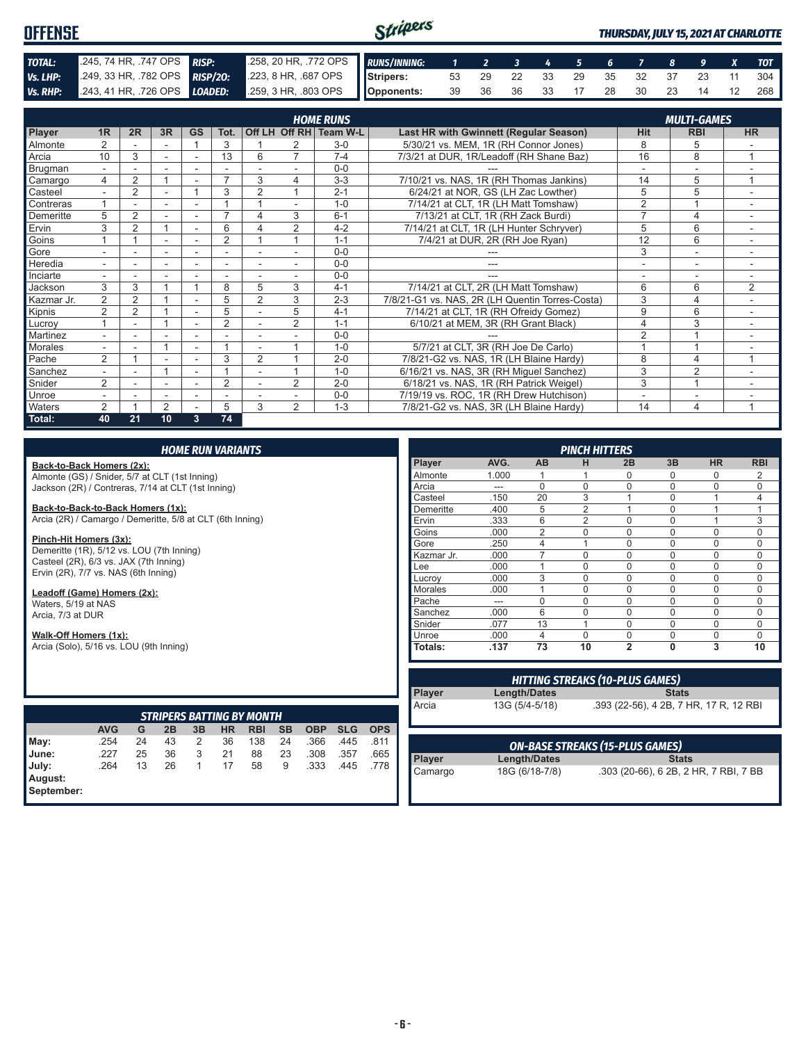#### Stripers **OFFENSE** *THURSDAY, JULY 15, 2021 AT CHARLOTTE TOTAL:* .245, 74 HR, .747 OPS *RISP:* .258, 20 HR, .772 OPS *RUNS/INNING: 1 2 3 4 5 6 7 8 9 X TOT Vs. LHP:* .249, 33 HR, .782 OPS *RISP/2O:* .223, 8 HR, .687 OPS **Stripers:** 53 29 22 33 29 35 32 37 23 11 304 **Vs. RHP:** .243, 41 HR, .726 OPS **LOADED:** .259, 3 HR, .803 OPS **Opponents:** 39 36 36 33 17 28 30 23 14 12 268

|            |                          |                |        |              |                |                |                          | <b>HOME RUNS</b>       |                                                 |                          | <b>MULTI-GAMES</b>       |           |
|------------|--------------------------|----------------|--------|--------------|----------------|----------------|--------------------------|------------------------|-------------------------------------------------|--------------------------|--------------------------|-----------|
| Player     | 1R                       | 2R             | 3R     | <b>GS</b>    | Tot.           |                |                          | Off LH Off RH Team W-L | <b>Last HR with Gwinnett (Regular Season)</b>   | <b>Hit</b>               | <b>RBI</b>               | <b>HR</b> |
| Almonte    | $\overline{2}$           |                |        |              | 3              |                | 2                        | $3-0$                  | 5/30/21 vs. MEM, 1R (RH Connor Jones)           | 8                        | 5                        |           |
| Arcia      | 10                       | 3              | $\sim$ | ٠            | 13             | 6              | $\overline{7}$           | $7 - 4$                | 7/3/21 at DUR, 1R/Leadoff (RH Shane Baz)        | 16                       | 8                        | 1         |
| Brugman    |                          |                |        |              |                |                |                          | $0 - 0$                |                                                 |                          |                          |           |
| Camargo    | 4                        | $\overline{2}$ |        | ۰            |                | 3              | 4                        | $3 - 3$                | 7/10/21 vs. NAS, 1R (RH Thomas Jankins)         | 14                       | 5                        |           |
| Casteel    |                          | $\overline{2}$ |        |              | 3              | $\overline{2}$ |                          | $2 - 1$                | 6/24/21 at NOR, GS (LH Zac Lowther)             | 5                        | 5                        |           |
| Contreras  |                          |                | ٠      |              |                |                |                          | $1 - 0$                | 7/14/21 at CLT, 1R (LH Matt Tomshaw)            | $\overline{2}$           |                          |           |
| Demeritte  | 5                        | $\overline{2}$ |        |              |                | 4              | 3                        | $6 - 1$                | 7/13/21 at CLT, 1R (RH Zack Burdi)              | 7                        | $\overline{4}$           |           |
| Ervin      | 3                        | $\overline{2}$ |        | ٠            | 6              |                | 2                        | $4 - 2$                | 7/14/21 at CLT, 1R (LH Hunter Schryver)         | 5                        | 6                        | $\sim$    |
| Goins      |                          |                |        |              | $\overline{2}$ |                |                          | $1 - 1$                | 7/4/21 at DUR, 2R (RH Joe Ryan)                 | 12                       | 6                        |           |
| Gore       |                          |                | ٠      |              | ۰              |                |                          | $0-0$                  |                                                 | 3                        | $\overline{\phantom{a}}$ |           |
| Heredia    | $\overline{a}$           |                |        |              | ٠              |                |                          | $0 - 0$                |                                                 | ٠                        | ٠                        |           |
| Inciarte   | $\overline{\phantom{a}}$ |                | ۰      | ۰            | ٠              |                | $\overline{\phantom{a}}$ | $0 - 0$                | ---                                             | $\overline{\phantom{a}}$ | $\overline{\phantom{a}}$ | ۰         |
| Jackson    | 3                        | 3              |        |              | 8              | 5              | 3                        | $4 - 1$                | 7/14/21 at CLT, 2R (LH Matt Tomshaw)            | 6                        | 6                        | 2         |
| Kazmar Jr. | $\overline{2}$           | $\overline{2}$ |        |              | 5              | $\overline{2}$ | 3                        | $2 - 3$                | 7/8/21-G1 vs. NAS, 2R (LH Quentin Torres-Costa) | 3                        | 4                        |           |
| Kipnis     | $\overline{2}$           | $\overline{2}$ |        | ٠            | 5              |                | 5                        | $4 - 1$                | 7/14/21 at CLT, 1R (RH Ofreidy Gomez)           | 9                        | 6                        | ۰.        |
| Lucroy     |                          |                |        | ٠            | $\overline{2}$ |                | $\overline{2}$           | $1 - 1$                | 6/10/21 at MEM, 3R (RH Grant Black)             | 4                        | 3                        | $\sim$    |
| Martinez   |                          |                | ۰      |              | ٠              |                |                          | $0 - 0$                |                                                 | 2                        |                          |           |
| Morales    | $\sim$                   |                |        |              |                |                |                          | $1 - 0$                | 5/7/21 at CLT, 3R (RH Joe De Carlo)             |                          |                          |           |
| Pache      | $\overline{2}$           |                |        |              | 3              | $\overline{2}$ |                          | $2 - 0$                | 7/8/21-G2 vs. NAS, 1R (LH Blaine Hardy)         | 8                        | 4                        | 1         |
| Sanchez    | $\sim$                   |                |        | ۰            |                | ٠              |                          | $1 - 0$                | 6/16/21 vs. NAS, 3R (RH Miguel Sanchez)         | 3                        | $\overline{2}$           | ۰         |
| Snider     | 2                        |                |        |              | $\overline{2}$ |                | $\overline{2}$           | $2 - 0$                | 6/18/21 vs. NAS, 1R (RH Patrick Weigel)         | 3                        |                          |           |
| Unroe      | $\sim$                   | ٠              | ٠      | ٠            | ٠              |                |                          | $0 - 0$                | 7/19/19 vs. ROC, 1R (RH Drew Hutchison)         | ٠                        | ٠                        |           |
| Waters     | $\overline{2}$           |                | 2      |              | 5              | 3              | $\overline{2}$           | $1 - 3$                | 7/8/21-G2 vs. NAS, 3R (LH Blaine Hardy)         | 14                       | 4                        | 1         |
| Total:     | 40                       | 21             | 10     | $\mathbf{3}$ | 74             |                |                          |                        |                                                 |                          |                          |           |

#### *HOME RUN VARIANTS*

**Back-to-Back Homers (2x):** Almonte (GS) / Snider, 5/7 at CLT (1st Inning)

Jackson (2R) / Contreras, 7/14 at CLT (1st Inning)

**Back-to-Back-to-Back Homers (1x):** Arcia (2R) / Camargo / Demeritte, 5/8 at CLT (6th Inning)

**Pinch-Hit Homers (3x):** Demeritte (1R), 5/12 vs. LOU (7th Inning) Casteel (2R), 6/3 vs. JAX (7th Inning) Ervin (2R), 7/7 vs. NAS (6th Inning)

**Leadoff (Game) Homers (2x):** Waters, 5/19 at NAS Arcia, 7/3 at DUR

**Walk-Off Homers (1x):**

Arcia (Solo), 5/16 vs. LOU (9th Inning)

|                       | <b>STRIPERS BATTING BY MONTH</b> |    |    |    |           |            |           |            |            |            |  |  |  |  |
|-----------------------|----------------------------------|----|----|----|-----------|------------|-----------|------------|------------|------------|--|--|--|--|
|                       | <b>AVG</b>                       | G  | 2B | 3B | <b>HR</b> | <b>RBI</b> | <b>SB</b> | <b>OBP</b> | <b>SLG</b> | <b>OPS</b> |  |  |  |  |
| $M$ ay:               | .254                             | 24 | 43 | 2  | 36        | 138        | 24        | .366       | .445       | .811       |  |  |  |  |
| June:                 | .227                             | 25 | 36 | 3  | 21        | 88         | 23        | .308       | .357       | .665       |  |  |  |  |
| July:                 | .264                             | 13 | 26 |    | 17        | 58         | 9         | .333       | .445       | .778       |  |  |  |  |
| August:<br>September: |                                  |    |    |    |           |            |           |            |            |            |  |  |  |  |
|                       |                                  |    |    |    |           |            |           |            |            |            |  |  |  |  |

| <b>PINCH HITTERS</b> |       |                |                |                |          |           |            |
|----------------------|-------|----------------|----------------|----------------|----------|-----------|------------|
| <b>Player</b>        | AVG.  | AB             | н              | 2B             | 3B       | <b>HR</b> | <b>RBI</b> |
| Almonte              | 1.000 |                |                | $\Omega$       | U        | $\Omega$  | 2          |
| Arcia                | ---   | $\Omega$       | $\Omega$       | $\mathbf{0}$   | 0        | $\Omega$  | $\Omega$   |
| Casteel              | .150  | 20             | 3              | 1              | 0        |           | 4          |
| Demeritte            | .400  | 5              | $\overline{2}$ | 1              | 0        |           | 1          |
| Ervin                | .333  | 6              | $\overline{2}$ | $\Omega$       | $\Omega$ | 1         | 3          |
| Goins                | .000  | $\overline{2}$ | $\Omega$       | $\Omega$       | O        | $\Omega$  | $\Omega$   |
| Gore                 | .250  | 4              | 1              | $\Omega$       | 0        | $\Omega$  | $\Omega$   |
| Kazmar Jr.           | .000  |                | $\Omega$       | $\Omega$       | 0        | $\Omega$  | $\Omega$   |
| Lee                  | .000  |                | $\Omega$       | $\Omega$       | $\Omega$ | $\Omega$  | $\Omega$   |
| Lucroy               | .000  | 3              | $\Omega$       | $\Omega$       | $\Omega$ | $\Omega$  | $\Omega$   |
| <b>Morales</b>       | .000  |                | $\Omega$       | $\Omega$       | O        | $\Omega$  | $\Omega$   |
| Pache                | ---   | $\Omega$       | $\Omega$       | $\Omega$       | 0        | $\Omega$  | $\Omega$   |
| Sanchez              | .000  | 6              | $\Omega$       | $\Omega$       | 0        | $\Omega$  | $\Omega$   |
| Snider               | .077  | 13             | 1              | $\Omega$       | $\Omega$ | $\Omega$  | $\Omega$   |
| Unroe                | .000  | 4              | $\Omega$       | $\Omega$       | $\Omega$ | $\Omega$  | $\Omega$   |
| Totals:              | .137  | 73             | 10             | $\overline{2}$ | 0        | 3         | 10         |

| <b>HITTING STREAKS (10-PLUS GAMES)</b> |                                        |  |  |  |
|----------------------------------------|----------------------------------------|--|--|--|
| Length/Dates                           | <b>Stats</b>                           |  |  |  |
| 13G (5/4-5/18)                         | .393 (22-56), 4 2B, 7 HR, 17 R, 12 RBI |  |  |  |
|                                        |                                        |  |  |  |

| <b>ON-BASE STREAKS (15-PLUS GAMES)</b> |                |                                       |  |  |
|----------------------------------------|----------------|---------------------------------------|--|--|
| <b>Player</b>                          | Length/Dates   | <b>Stats</b>                          |  |  |
| Camargo                                | 18G (6/18-7/8) | .303 (20-66), 6 2B, 2 HR, 7 RBI, 7 BB |  |  |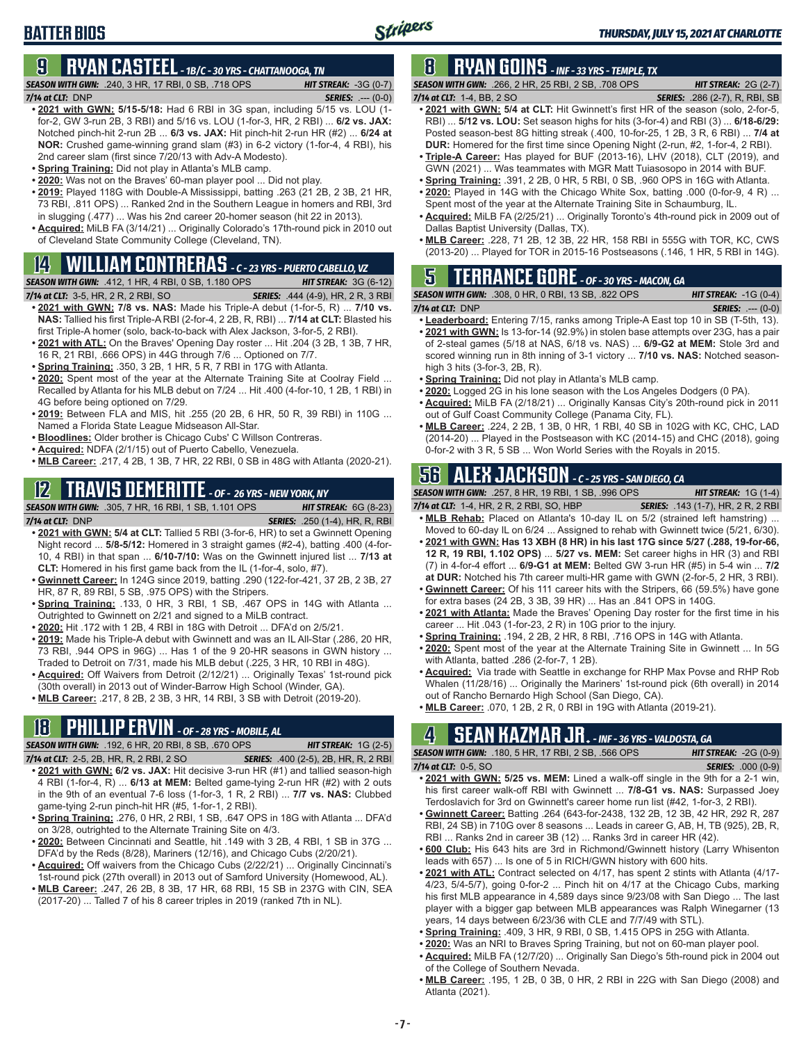## **BATTER BIOS**

## **9 RYAN CASTEEL** *- 1B/C - 30 YRS - CHATTANOOGA, TN*

*SEASON WITH GWN:*.240, 3 HR, 17 RBI, 0 SB, .718 OPS *HIT STREAK:* -3G (0-7)

*SERIES:* .--- (0-0)

- **• 2021 with GWN: 5/15-5/18:** Had 6 RBI in 3G span, including 5/15 vs. LOU (1 for-2, GW 3-run 2B, 3 RBI) and 5/16 vs. LOU (1-for-3, HR, 2 RBI) ... **6/2 vs. JAX:** Notched pinch-hit 2-run 2B ... **6/3 vs. JAX:** Hit pinch-hit 2-run HR (#2) ... **6/24 at NOR:** Crushed game-winning grand slam (#3) in 6-2 victory (1-for-4, 4 RBI), his 2nd career slam (first since 7/20/13 with Adv-A Modesto).
- **• Spring Training:** Did not play in Atlanta's MLB camp.
- **• 2020:** Was not on the Braves' 60-man player pool ... Did not play.
- **• 2019:** Played 118G with Double-A Mississippi, batting .263 (21 2B, 2 3B, 21 HR, 73 RBI, .811 OPS) ... Ranked 2nd in the Southern League in homers and RBI, 3rd in slugging (.477) ... Was his 2nd career 20-homer season (hit 22 in 2013).
- **• Acquired:** MiLB FA (3/14/21) ... Originally Colorado's 17th-round pick in 2010 out of Cleveland State Community College (Cleveland, TN).

## **14 WILLIAM CONTRERAS** *- C - 23 YRS - PUERTO CABELLO, VZ*

*SEASON WITH GWN:*.412, 1 HR, 4 RBI, 0 SB, 1.180 OPS *HIT STREAK:* 3G (6-12) *7/14 at CLT:*3-5, HR, 2 R, 2 RBI, SO *SERIES:* .444 (4-9), HR, 2 R, 3 RBI

- **• 2021 with GWN: 7/8 vs. NAS:** Made his Triple-A debut (1-for-5, R) ... **7/10 vs. NAS:** Tallied his first Triple-A RBI (2-for-4, 2 2B, R, RBI) ... **7/14 at CLT:** Blasted his first Triple-A homer (solo, back-to-back with Alex Jackson, 3-for-5, 2 RBI).
- **• 2021 with ATL:** On the Braves' Opening Day roster ... Hit .204 (3 2B, 1 3B, 7 HR, 16 R, 21 RBI, .666 OPS) in 44G through 7/6 ... Optioned on 7/7.
- **• Spring Training:** .350, 3 2B, 1 HR, 5 R, 7 RBI in 17G with Atlanta.
- **• 2020:** Spent most of the year at the Alternate Training Site at Coolray Field ... Recalled by Atlanta for his MLB debut on 7/24 ... Hit .400 (4-for-10, 1 2B, 1 RBI) in 4G before being optioned on 7/29.
- **• 2019:** Between FLA and MIS, hit .255 (20 2B, 6 HR, 50 R, 39 RBI) in 110G ... Named a Florida State League Midseason All-Star.
- **• Bloodlines:** Older brother is Chicago Cubs' C Willson Contreras.
- **• Acquired:** NDFA (2/1/15) out of Puerto Cabello, Venezuela.
- **• MLB Career:** .217, 4 2B, 1 3B, 7 HR, 22 RBI, 0 SB in 48G with Atlanta (2020-21).

## **12 TRAVIS DEMERITTE** *- OF - 26 YRS - NEW YORK, NY*

*SEASON WITH GWN:*.305, 7 HR, 16 RBI, 1 SB, 1.101 OPS *HIT STREAK:* 6G (8-23)

- *7/14 at CLT:*DNP *SERIES:* .250 (1-4), HR, R, RBI **• 2021 with GWN: 5/4 at CLT:** Tallied 5 RBI (3-for-6, HR) to set a Gwinnett Opening Night record ... **5/8-5/12:** Homered in 3 straight games (#2-4), batting .400 (4-for-10, 4 RBI) in that span ... **6/10-7/10:** Was on the Gwinnett injured list ... **7/13 at CLT:** Homered in his first game back from the IL (1-for-4, solo, #7).
- **• Gwinnett Career:** In 124G since 2019, batting .290 (122-for-421, 37 2B, 2 3B, 27 HR, 87 R, 89 RBI, 5 SB, .975 OPS) with the Stripers.
- **• Spring Training:** .133, 0 HR, 3 RBI, 1 SB, .467 OPS in 14G with Atlanta ... Outrighted to Gwinnett on 2/21 and signed to a MiLB contract.
- **• 2020:** Hit .172 with 1 2B, 4 RBI in 18G with Detroit ... DFA'd on 2/5/21.
- **• 2019:** Made his Triple-A debut with Gwinnett and was an IL All-Star (.286, 20 HR, 73 RBI, .944 OPS in 96G) ... Has 1 of the 9 20-HR seasons in GWN history Traded to Detroit on 7/31, made his MLB debut (.225, 3 HR, 10 RBI in 48G).
- **• Acquired:** Off Waivers from Detroit (2/12/21) ... Originally Texas' 1st-round pick (30th overall) in 2013 out of Winder-Barrow High School (Winder, GA).
- **• MLB Career:** .217, 8 2B, 2 3B, 3 HR, 14 RBI, 3 SB with Detroit (2019-20).

## **18 PHILLIP ERVIN** *- OF - 28 YRS - MOBILE, AL*

*SEASON WITH GWN:*.192, 6 HR, 20 RBI, 8 SB, .670 OPS *HIT STREAK:* 1G (2-5)

- *7/14 at CLT:*2-5, 2B, HR, R, 2 RBI, 2 SO *SERIES:* .400 (2-5), 2B, HR, R, 2 RBI **• 2021 with GWN: 6/2 vs. JAX:** Hit decisive 3-run HR (#1) and tallied season-high 4 RBI (1-for-4, R) ... **6/13 at MEM:** Belted game-tying 2-run HR (#2) with 2 outs in the 9th of an eventual 7-6 loss (1-for-3, 1 R, 2 RBI) ... **7/7 vs. NAS:** Clubbed
- game-tying 2-run pinch-hit HR (#5, 1-for-1, 2 RBI). **• Spring Training:** .276, 0 HR, 2 RBI, 1 SB, .647 OPS in 18G with Atlanta ... DFA'd on 3/28, outrighted to the Alternate Training Site on 4/3.
- **• 2020:** Between Cincinnati and Seattle, hit .149 with 3 2B, 4 RBI, 1 SB in 37G ... DFA'd by the Reds (8/28), Mariners (12/16), and Chicago Cubs (2/20/21).
- **• Acquired:** Off waivers from the Chicago Cubs (2/22/21) ... Originally Cincinnati's 1st-round pick (27th overall) in 2013 out of Samford University (Homewood, AL).
- **• MLB Career:** .247, 26 2B, 8 3B, 17 HR, 68 RBI, 15 SB in 237G with CIN, SEA (2017-20) ... Talled 7 of his 8 career triples in 2019 (ranked 7th in NL).

## **8 RYAN GOINS** *- INF - 33 YRS - TEMPLE, TX*

*SEASON WITH GWN:*.266, 2 HR, 25 RBI, 2 SB, .708 OPS *HIT STREAK:* 2G (2-7) *7/14 at CLT:*1-4, BB, 2 SO *SERIES:* .286 (2-7), R, RBI, SB

- **• 2021 with GWN: 5/4 at CLT:** Hit Gwinnett's first HR of the season (solo, 2-for-5, RBI) ... **5/12 vs. LOU:** Set season highs for hits (3-for-4) and RBI (3) ... **6/18-6/29:** Posted season-best 8G hitting streak (.400, 10-for-25, 1 2B, 3 R, 6 RBI) ... **7/4 at DUR:** Homered for the first time since Opening Night (2-run, #2, 1-for-4, 2 RBI).
- **• Triple-A Career:** Has played for BUF (2013-16), LHV (2018), CLT (2019), and GWN (2021) ... Was teammates with MGR Matt Tuiasosopo in 2014 with BUF.
- **• Spring Training:** .391, 2 2B, 0 HR, 5 RBI, 0 SB, .960 OPS in 16G with Atlanta.
- **• 2020:** Played in 14G with the Chicago White Sox, batting .000 (0-for-9, 4 R) ... Spent most of the year at the Alternate Training Site in Schaumburg, IL.
- **• Acquired:** MiLB FA (2/25/21) ... Originally Toronto's 4th-round pick in 2009 out of Dallas Baptist University (Dallas, TX).
- **• MLB Career:** .228, 71 2B, 12 3B, 22 HR, 158 RBI in 555G with TOR, KC, CWS (2013-20) ... Played for TOR in 2015-16 Postseasons (.146, 1 HR, 5 RBI in 14G).

## **5 TERRANCE GORE** *- OF - 30 YRS - MACON, GA*

*SEASON WITH GWN:*.308, 0 HR, 0 RBI, 13 SB, .822 OPS *HIT STREAK:* -1G (0-4)

- *7/14 at CLT:*DNP *SERIES:* .--- (0-0)
- **• Leaderboard:** Entering 7/15, ranks among Triple-A East top 10 in SB (T-5th, 13).
- **• 2021 with GWN:** Is 13-for-14 (92.9%) in stolen base attempts over 23G, has a pair of 2-steal games (5/18 at NAS, 6/18 vs. NAS) ... **6/9-G2 at MEM:** Stole 3rd and scored winning run in 8th inning of 3-1 victory ... **7/10 vs. NAS:** Notched seasonhigh 3 hits (3-for-3, 2B, R).
- **• Spring Training:** Did not play in Atlanta's MLB camp.
- **• 2020:** Logged 2G in his lone season with the Los Angeles Dodgers (0 PA).
- **• Acquired:** MiLB FA (2/18/21) ... Originally Kansas City's 20th-round pick in 2011 out of Gulf Coast Community College (Panama City, FL).
- **• MLB Career:** .224, 2 2B, 1 3B, 0 HR, 1 RBI, 40 SB in 102G with KC, CHC, LAD (2014-20) ... Played in the Postseason with KC (2014-15) and CHC (2018), going 0-for-2 with 3 R, 5 SB ... Won World Series with the Royals in 2015.

## **56 ALEX JACKSON** *- C - 25 YRS - SAN DIEGO, CA*

*SEASON WITH GWN:*.257, 8 HR, 19 RBI, 1 SB, .996 OPS *HIT STREAK:* 1G (1-4)

- *7/14 at CLT:*1-4, HR, 2 R, 2 RBI, SO, HBP *SERIES:* .143 (1-7), HR, 2 R, 2 RBI **• MLB Rehab:** Placed on Atlanta's 10-day IL on 5/2 (strained left hamstring) ...
- Moved to 60-day IL on 6/24 ... Assigned to rehab with Gwinnett twice (5/21, 6/30). **• 2021 with GWN: Has 13 XBH (8 HR) in his last 17G since 5/27 (.288, 19-for-66, 12 R, 19 RBI, 1.102 OPS)** ... **5/27 vs. MEM:** Set career highs in HR (3) and RBI (7) in 4-for-4 effort ... **6/9-G1 at MEM:** Belted GW 3-run HR (#5) in 5-4 win ... **7/2 at DUR:** Notched his 7th career multi-HR game with GWN (2-for-5, 2 HR, 3 RBI).
- **• Gwinnett Career:** Of his 111 career hits with the Stripers, 66 (59.5%) have gone
- for extra bases (24 2B, 3 3B, 39 HR) ... Has an .841 OPS in 140G.
- **• 2021 with Atlanta:** Made the Braves' Opening Day roster for the first time in his career ... Hit .043 (1-for-23, 2 R) in 10G prior to the injury.
- **• Spring Training:** .194, 2 2B, 2 HR, 8 RBI, .716 OPS in 14G with Atlanta.
- **• 2020:** Spent most of the year at the Alternate Training Site in Gwinnett ... In 5G with Atlanta, batted .286 (2-for-7, 1 2B).
- **• Acquired:** Via trade with Seattle in exchange for RHP Max Povse and RHP Rob Whalen (11/28/16) ... Originally the Mariners' 1st-round pick (6th overall) in 2014 out of Rancho Bernardo High School (San Diego, CA).
- **• MLB Career:** .070, 1 2B, 2 R, 0 RBI in 19G with Atlanta (2019-21).

## **4 SEAN KAZMAR JR.** *- INF - 36 YRS - VALDOSTA, GA*

*SEASON WITH GWN:*.180, 5 HR, 17 RBI, 2 SB, .566 OPS *HIT STREAK:* -2G (0-9) *7/14 at CLT:*0-5, SO *SERIES:* .000 (0-9)

- **• 2021 with GWN: 5/25 vs. MEM:** Lined a walk-off single in the 9th for a 2-1 win, his first career walk-off RBI with Gwinnett ... **7/8-G1 vs. NAS:** Surpassed Joey Terdoslavich for 3rd on Gwinnett's career home run list (#42, 1-for-3, 2 RBI).
- **• Gwinnett Career:** Batting .264 (643-for-2438, 132 2B, 12 3B, 42 HR, 292 R, 287 RBI, 24 SB) in 710G over 8 seasons ... Leads in career G, AB, H, TB (925), 2B, R, RBI ... Ranks 2nd in career 3B (12) ... Ranks 3rd in career HR (42).
- **• 600 Club:** His 643 hits are 3rd in Richmond/Gwinnett history (Larry Whisenton leads with 657) ... Is one of 5 in RICH/GWN history with 600 hits.
- **• 2021 with ATL:** Contract selected on 4/17, has spent 2 stints with Atlanta (4/17- 4/23, 5/4-5/7), going 0-for-2 ... Pinch hit on 4/17 at the Chicago Cubs, marking his first MLB appearance in 4,589 days since 9/23/08 with San Diego ... The last player with a bigger gap between MLB appearances was Ralph Winegarner (13 years, 14 days between 6/23/36 with CLE and 7/7/49 with STL).
- **• Spring Training:** .409, 3 HR, 9 RBI, 0 SB, 1.415 OPS in 25G with Atlanta.
- **• 2020:** Was an NRI to Braves Spring Training, but not on 60-man player pool.
- **• Acquired:** MiLB FA (12/7/20) ... Originally San Diego's 5th-round pick in 2004 out of the College of Southern Nevada.
- **• MLB Career:** .195, 1 2B, 0 3B, 0 HR, 2 RBI in 22G with San Diego (2008) and Atlanta (2021).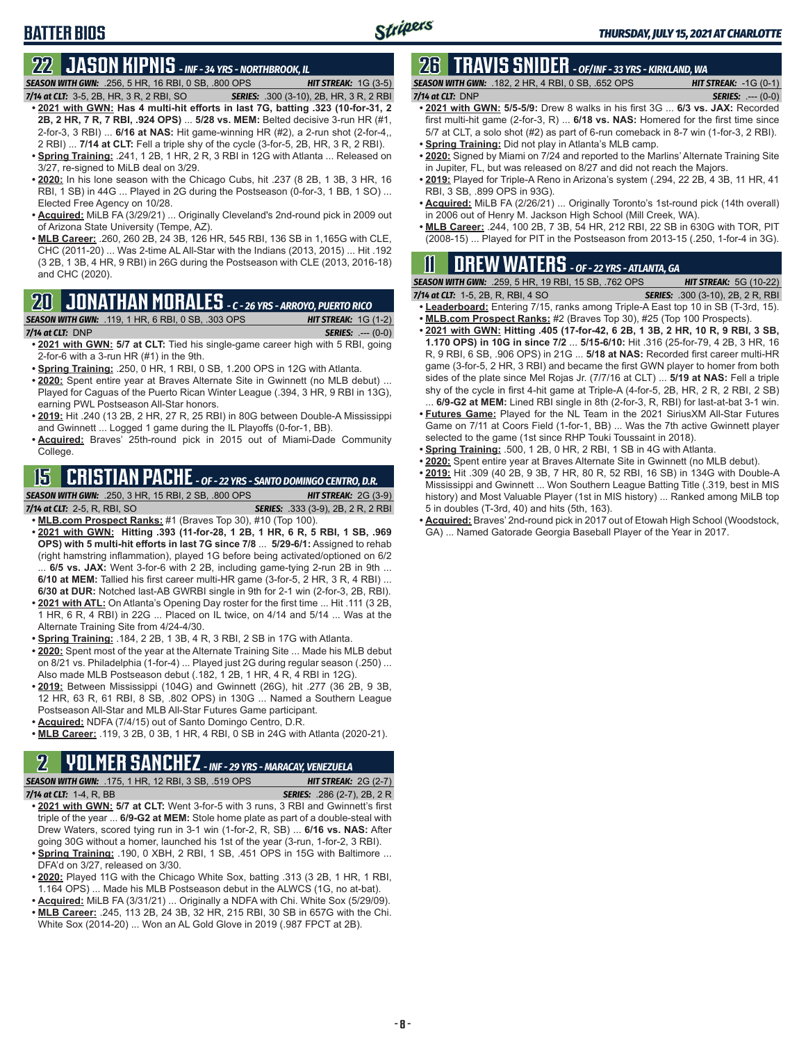## **BATTER BIOS**

## **22 JASON KIPNIS** *- INF - 34 YRS - NORTHBROOK, IL*

*SEASON WITH GWN:*.256, 5 HR, 16 RBI, 0 SB, .800 OPS *HIT STREAK:* 1G (3-5)

- *7/14 at CLT:*3-5, 2B, HR, 3 R, 2 RBI, SO *SERIES:* .300 (3-10), 2B, HR, 3 R, 2 RBI **• 2021 with GWN: Has 4 multi-hit efforts in last 7G, batting .323 (10-for-31, 2 2B, 2 HR, 7 R, 7 RBI, .924 OPS)** ... **5/28 vs. MEM:** Belted decisive 3-run HR (#1, 2-for-3, 3 RBI) ... **6/16 at NAS:** Hit game-winning HR (#2), a 2-run shot (2-for-4,, 2 RBI) ... **7/14 at CLT:** Fell a triple shy of the cycle (3-for-5, 2B, HR, 3 R, 2 RBI).
- **• Spring Training:** .241, 1 2B, 1 HR, 2 R, 3 RBI in 12G with Atlanta ... Released on 3/27, re-signed to MiLB deal on 3/29.
- **• 2020:** In his lone season with the Chicago Cubs, hit .237 (8 2B, 1 3B, 3 HR, 16 RBI, 1 SB) in 44G ... Played in 2G during the Postseason (0-for-3, 1 BB, 1 SO) ... Elected Free Agency on 10/28.
- **• Acquired:** MiLB FA (3/29/21) ... Originally Cleveland's 2nd-round pick in 2009 out of Arizona State University (Tempe, AZ).
- **• MLB Career:** .260, 260 2B, 24 3B, 126 HR, 545 RBI, 136 SB in 1,165G with CLE, CHC (2011-20) ... Was 2-time AL All-Star with the Indians (2013, 2015) ... Hit .192 (3 2B, 1 3B, 4 HR, 9 RBI) in 26G during the Postseason with CLE (2013, 2016-18) and CHC (2020).

### **20 JONATHAN MORALES** *- C - 26 YRS - ARROYO, PUERTO RICO*

*SEASON WITH GWN:*.119, 1 HR, 6 RBI, 0 SB, .303 OPS *HIT STREAK:* 1G (1-2)

- *7/14 at CLT:*DNP *SERIES:* .--- (0-0) **• 2021 with GWN: 5/7 at CLT:** Tied his single-game career high with 5 RBI, going 2-for-6 with a 3-run HR (#1) in the 9th.
- **• Spring Training:** .250, 0 HR, 1 RBI, 0 SB, 1.200 OPS in 12G with Atlanta.
- **• 2020:** Spent entire year at Braves Alternate Site in Gwinnett (no MLB debut) ... Played for Caguas of the Puerto Rican Winter League (.394, 3 HR, 9 RBI in 13G), earning PWL Postseason All-Star honors.
- **• 2019:** Hit .240 (13 2B, 2 HR, 27 R, 25 RBI) in 80G between Double-A Mississippi and Gwinnett ... Logged 1 game during the IL Playoffs (0-for-1, BB).
- **• Acquired:** Braves' 25th-round pick in 2015 out of Miami-Dade Community College.

### **15 CRISTIAN PACHE** *- OF - 22 YRS - SANTO DOMINGO CENTRO, D.R.*

*SEASON WITH GWN:*.250, 3 HR, 15 RBI, 2 SB, .800 OPS *HIT STREAK:* 2G (3-9)

*7/14 at CLT:* 2-5, R, RBI, SO *SERIES:* .333 (3-9), 2B, 2 R, 2 RBI **• MLB.com Prospect Ranks:** #1 (Braves Top 30), #10 (Top 100).

**• 2021 with GWN: Hitting .393 (11-for-28, 1 2B, 1 HR, 6 R, 5 RBI, 1 SB, .969 OPS) with 5 multi-hit efforts in last 7G since 7/8** ... **5/29-6/1:** Assigned to rehab (right hamstring inflammation), played 1G before being activated/optioned on 6/2 ... **6/5 vs. JAX:** Went 3-for-6 with 2 2B, including game-tying 2-run 2B in 9th ... **6/10 at MEM:** Tallied his first career multi-HR game (3-for-5, 2 HR, 3 R, 4 RBI) ...

**6/30 at DUR:** Notched last-AB GWRBI single in 9th for 2-1 win (2-for-3, 2B, RBI).

- **• 2021 with ATL:** On Atlanta's Opening Day roster for the first time ... Hit .111 (3 2B, 1 HR, 6 R, 4 RBI) in 22G ... Placed on IL twice, on 4/14 and 5/14 ... Was at the Alternate Training Site from 4/24-4/30.
- **• Spring Training:** .184, 2 2B, 1 3B, 4 R, 3 RBI, 2 SB in 17G with Atlanta.
- **• 2020:** Spent most of the year at the Alternate Training Site ... Made his MLB debut on 8/21 vs. Philadelphia (1-for-4) ... Played just 2G during regular season (.250) ... Also made MLB Postseason debut (.182, 1 2B, 1 HR, 4 R, 4 RBI in 12G).
- **• 2019:** Between Mississippi (104G) and Gwinnett (26G), hit .277 (36 2B, 9 3B, 12 HR, 63 R, 61 RBI, 8 SB, .802 OPS) in 130G ... Named a Southern League Postseason All-Star and MLB All-Star Futures Game participant.
- **• Acquired:** NDFA (7/4/15) out of Santo Domingo Centro, D.R.
- **• MLB Career:** .119, 3 2B, 0 3B, 1 HR, 4 RBI, 0 SB in 24G with Atlanta (2020-21).

#### **2 YOLMER SANCHEZ** *- INF - 29 YRS - MARACAY, VENEZUELA*

*SEASON WITH GWN:*.175, 1 HR, 12 RBI, 3 SB, .519 OPS *HIT STREAK:* 2G (2-7)

- *7/14 at CLT:*1-4, R, BB *SERIES:* .286 (2-7), 2B, 2 R **• 2021 with GWN: 5/7 at CLT:** Went 3-for-5 with 3 runs, 3 RBI and Gwinnett's first triple of the year ... **6/9-G2 at MEM:** Stole home plate as part of a double-steal with Drew Waters, scored tying run in 3-1 win (1-for-2, R, SB) ... **6/16 vs. NAS:** After going 30G without a homer, launched his 1st of the year (3-run, 1-for-2, 3 RBI).
- **• Spring Training:** .190, 0 XBH, 2 RBI, 1 SB, .451 OPS in 15G with Baltimore ... DFA'd on 3/27, released on 3/30.
- **• 2020:** Played 11G with the Chicago White Sox, batting .313 (3 2B, 1 HR, 1 RBI, 1.164 OPS) ... Made his MLB Postseason debut in the ALWCS (1G, no at-bat).
- **• Acquired:** MiLB FA (3/31/21) ... Originally a NDFA with Chi. White Sox (5/29/09). **• MLB Career:** .245, 113 2B, 24 3B, 32 HR, 215 RBI, 30 SB in 657G with the Chi. White Sox (2014-20) ... Won an AL Gold Glove in 2019 (.987 FPCT at 2B).

## **26 TRAVIS SNIDER** *- OF/INF - 33 YRS - KIRKLAND, WA*

*SEASON WITH GWN:*.182, 2 HR, 4 RBI, 0 SB, .652 OPS *HIT STREAK:* -1G (0-1) *7/14 at CLT:* DNP *SERIES:* .--- (0-0)

- **• 2021 with GWN: 5/5-5/9:** Drew 8 walks in his first 3G ... **6/3 vs. JAX:** Recorded first multi-hit game (2-for-3, R) ... **6/18 vs. NAS:** Homered for the first time since 5/7 at CLT, a solo shot (#2) as part of 6-run comeback in 8-7 win (1-for-3, 2 RBI).
- **• Spring Training:** Did not play in Atlanta's MLB camp.
- **• 2020:** Signed by Miami on 7/24 and reported to the Marlins' Alternate Training Site in Jupiter, FL, but was released on 8/27 and did not reach the Majors.
- **• 2019:** Played for Triple-A Reno in Arizona's system (.294, 22 2B, 4 3B, 11 HR, 41 RBI, 3 SB, .899 OPS in 93G).
- **• Acquired:** MiLB FA (2/26/21) ... Originally Toronto's 1st-round pick (14th overall) in 2006 out of Henry M. Jackson High School (Mill Creek, WA).
- **• MLB Career:** .244, 100 2B, 7 3B, 54 HR, 212 RBI, 22 SB in 630G with TOR, PIT (2008-15) ... Played for PIT in the Postseason from 2013-15 (.250, 1-for-4 in 3G).

## **11 Drew WATERS** *- OF - 22 YRS - ATLANTA, GA*

|                                       | <b>SEASON WITH GWN: .259, 5 HR, 19 RBI, 15 SB, .762 OPS</b> |                                          | <b>HIT STREAK: 5G (10-22)</b> |
|---------------------------------------|-------------------------------------------------------------|------------------------------------------|-------------------------------|
| 7/14 at CLT: $1-5$ , 2B, R, RBI, 4 SO |                                                             | <b>SERIES:</b> .300 (3-10), 2B, 2 R, RBI |                               |

- **• Leaderboard:** Entering 7/15, ranks among Triple-A East top 10 in SB (T-3rd, 15). **• MLB.com Prospect Ranks:** #2 (Braves Top 30), #25 (Top 100 Prospects).
- **• 2021 with GWN: Hitting .405 (17-for-42, 6 2B, 1 3B, 2 HR, 10 R, 9 RBI, 3 SB, 1.170 OPS) in 10G in since 7/2** ... **5/15-6/10:** Hit .316 (25-for-79, 4 2B, 3 HR, 16 R, 9 RBI, 6 SB, .906 OPS) in 21G ... **5/18 at NAS:** Recorded first career multi-HR game (3-for-5, 2 HR, 3 RBI) and became the first GWN player to homer from both sides of the plate since Mel Rojas Jr. (7/7/16 at CLT) ... **5/19 at NAS:** Fell a triple shy of the cycle in first 4-hit game at Triple-A (4-for-5, 2B, HR, 2 R, 2 RBI, 2 SB) 6/9-G2 at MEM: Lined RBI single in 8th (2-for-3, R, RBI) for last-at-bat 3-1 win.
- **• Futures Game:** Played for the NL Team in the 2021 SiriusXM All-Star Futures Game on 7/11 at Coors Field (1-for-1, BB) ... Was the 7th active Gwinnett player selected to the game (1st since RHP Touki Toussaint in 2018).
- **• Spring Training:** .500, 1 2B, 0 HR, 2 RBI, 1 SB in 4G with Atlanta.
- **• 2020:** Spent entire year at Braves Alternate Site in Gwinnett (no MLB debut).
- **• 2019:** Hit .309 (40 2B, 9 3B, 7 HR, 80 R, 52 RBI, 16 SB) in 134G with Double-A Mississippi and Gwinnett ... Won Southern League Batting Title (.319, best in MIS history) and Most Valuable Player (1st in MIS history) ... Ranked among MiLB top 5 in doubles (T-3rd, 40) and hits (5th, 163).
- **• Acquired:** Braves' 2nd-round pick in 2017 out of Etowah High School (Woodstock, GA) ... Named Gatorade Georgia Baseball Player of the Year in 2017.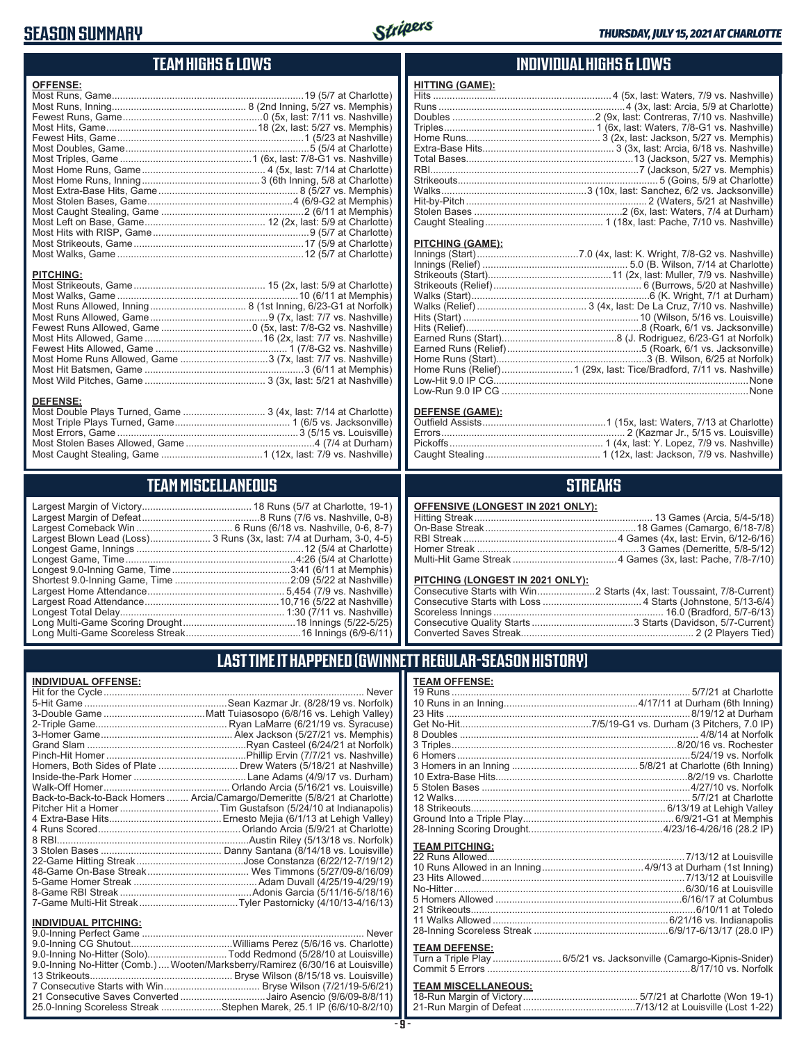### **SEASON SUMMARY**



**HITTING (GAME):**

#### **TEAM HIGHS & LOWS**

| <b>OFFENSE:</b>                                              |  |
|--------------------------------------------------------------|--|
|                                                              |  |
|                                                              |  |
|                                                              |  |
|                                                              |  |
|                                                              |  |
|                                                              |  |
|                                                              |  |
|                                                              |  |
|                                                              |  |
|                                                              |  |
|                                                              |  |
|                                                              |  |
|                                                              |  |
|                                                              |  |
| <b>PITCHING:</b>                                             |  |
|                                                              |  |
|                                                              |  |
|                                                              |  |
|                                                              |  |
|                                                              |  |
|                                                              |  |
|                                                              |  |
| Most Home Runs Allowed, Game 3 (7x, last: 7/7 vs. Nashville) |  |
|                                                              |  |

#### **INDIVIDUAL HIGHS & LOWS**

| <u>HIIING (GAME):</u>   |                                                                         |
|-------------------------|-------------------------------------------------------------------------|
|                         |                                                                         |
|                         |                                                                         |
|                         |                                                                         |
|                         |                                                                         |
|                         |                                                                         |
|                         |                                                                         |
|                         |                                                                         |
|                         |                                                                         |
|                         |                                                                         |
|                         |                                                                         |
|                         |                                                                         |
|                         |                                                                         |
|                         | Caught Stealing……………………………………… 1 (18x, last: Pache, 7/10 vs. Nashville) |
|                         |                                                                         |
| <b>PITCHING (GAME):</b> |                                                                         |
|                         |                                                                         |
|                         |                                                                         |
| $(2+1)(1-1)(2+1)$       | $A A / 0.$ . $1 - 1.1$ . $A . 11 - 7/0$ $A I - 1.11 - 1$                |

#### **DEFENSE (GAME):**

#### **STREAKS**

#### **OFFENSIVE (LONGEST IN 2021 ONLY):**

#### **PITCHING (LONGEST IN 2021 ONLY):**

#### **LAST TIME IT HAPPENED (GWINNETT REGULAR-SEASON HISTORY)**

|                        | <b>TEAM OFFENSE:</b>  |                                                 |
|------------------------|-----------------------|-------------------------------------------------|
| Never                  |                       |                                                 |
| (8/28/19 vs. Norfolk)  |                       |                                                 |
| 16 vs. Lehigh Valley)  |                       |                                                 |
| 21/19 vs. Syracuse)    |                       |                                                 |
| /27/21 vs. Memphis)    |                       |                                                 |
| l (6/24/21 at Norfolk) |                       |                                                 |
| 7/7/21 vs. Nashville)  |                       |                                                 |
| 5/18/21 at Nashville)  |                       |                                                 |
| (4/9/17 vs. Durham)    |                       |                                                 |
| /16/21 vs. Louisville) |                       |                                                 |
| (5/8/21 at Charlotte)  |                       |                                                 |
| 4/10 at Indianapolis)  |                       |                                                 |
| 13 at Lehigh Valley)   |                       |                                                 |
| (5/9/21 at Charlotte)  |                       |                                                 |
| (5/13/18 vs. Norfolk)  |                       |                                                 |
| /14/18 vs. Louisville) | <b>TEAM PITCHING:</b> |                                                 |
| za (6/22/12-7/19/12)   |                       |                                                 |
| ns (5/27/09-8/16/09)   |                       |                                                 |
| all (4/25/19-4/29/19)  |                       |                                                 |
| cia (5/11/16-5/18/16)  |                       |                                                 |
| ky (4/10/13-4/16/13)   |                       |                                                 |
|                        |                       |                                                 |
|                        |                       |                                                 |
| Never                  |                       |                                                 |
| 5/6/16 vs. Charlotte)  | <b>TEAM DEFENSE:</b>  |                                                 |
| 5/28/10 at Louisville) | Turn a Trinle Play    | 6/5/21 vs. Jacksonville (Camargo-Kinnis-Snider) |

#### le Play .............................6/5/21 vs. Jacksonville (Camargo-Kipnis-Snider)<br>-Commit 5 Errors ..........................................................................8/17/10 vs. Norfolk

### **TEAM MISCELLANEOUS:**<br>18-Run Margin of Victory....

| 21-Run Margin of Defeat…………………………………7/13/12 at Louisville (Lost 1-22) |  |  |
|-----------------------------------------------------------------------|--|--|

### **TEAM MISCELLANEOUS**

Most Wild Pitches, Game ............................................ 3 (3x, last: 5/21 at Nashville)

Most Double Plays Turned, Game .............................. 3 (4x, last: 7/14 at Charlotte) Most Triple Plays Turned, Game .......................................... 1 (6/5 vs. Jacksonville) Most Errors, Game ..................................................................3 (5/15 vs. Louisville) Most Stolen Bases Allowed, Game ...............................................4 (7/4 at Durham) Most Caught Stealing, Game .....................................1 (12x, last: 7/9 vs. Nashville)

| Largest Blown Lead (Loss) 3 Runs (3x, last: 7/4 at Durham, 3-0, 4-5) |
|----------------------------------------------------------------------|
|                                                                      |
| Longest Game, Time……………………………………………………4:26 (5/4 at Charlotte)        |
|                                                                      |
|                                                                      |
|                                                                      |
|                                                                      |
|                                                                      |
|                                                                      |
|                                                                      |
|                                                                      |

#### **INDIVIDUAL OFFENSE:**

**DEFENSE:**

| Homers, Both Sides of Plate  Drew Waters (5/18/21 at Nashville)            |
|----------------------------------------------------------------------------|
|                                                                            |
|                                                                            |
| Back-to-Back-to-Back Homers  Arcia/Camargo/Demeritte (5/8/21 at Charlotte) |
|                                                                            |
|                                                                            |
|                                                                            |
|                                                                            |
|                                                                            |
|                                                                            |
|                                                                            |
|                                                                            |
|                                                                            |
|                                                                            |
|                                                                            |

#### **INDIVIDUAL PITCHING:**

| 9.0-Inning No-Hitter (Solo)Todd Redmond (5/28/10 at Louisville)                |
|--------------------------------------------------------------------------------|
| 9.0-Inning No-Hitter (Comb.) Wooten/Marksberry/Ramirez (6/30/16 at Louisville) |
|                                                                                |
|                                                                                |
| 21 Consecutive Saves Converted Jairo Asencio (9/6/09-8/8/11)                   |
| 25.0-Inning Scoreless Streak Stephen Marek, 25.1 IP (6/6/10-8/2/10)            |